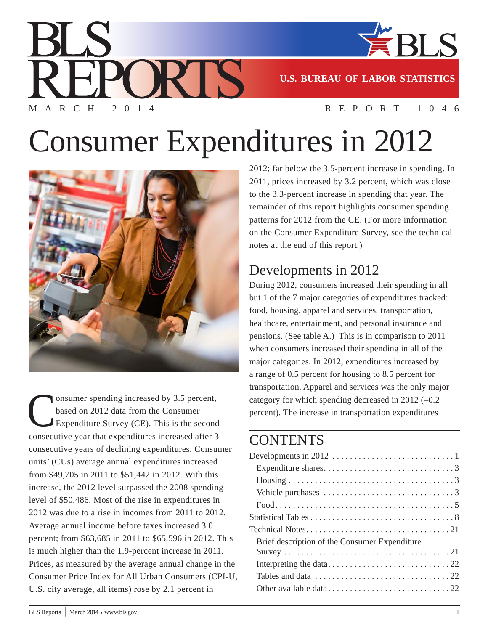

**U.S. BUREAU OF LABOR STATISTICS**

#### MARCH 2014 REPORT 1046

# Consumer Expenditures in 2012

RTS I



onsumer spending increased by 3.5 percent, based on 2012 data from the Consumer Expenditure Survey (CE). This is the second consecutive year that expenditures increased after 3 consecutive years of declining expenditures. Consumer units' (CUs) average annual expenditures increased from \$49,705 in 2011 to \$51,442 in 2012. With this increase, the 2012 level surpassed the 2008 spending level of \$50,486. Most of the rise in expenditures in 2012 was due to a rise in incomes from 2011 to 2012. Average annual income before taxes increased 3.0 percent; from \$63,685 in 2011 to \$65,596 in 2012. This is much higher than the 1.9-percent increase in 2011. Prices, as measured by the average annual change in the Consumer Price Index for All Urban Consumers (CPI-U, U.S. city average, all items) rose by 2.1 percent in

2012; far below the 3.5-percent increase in spending. In 2011, prices increased by 3.2 percent, which was close to the 3.3-percent increase in spending that year. The remainder of this report highlights consumer spending patterns for 2012 from the CE. (For more information on the Consumer Expenditure Survey, see the technical notes at the end of this report.)

# Developments in 2012

During 2012, consumers increased their spending in all but 1 of the 7 major categories of expenditures tracked: food, housing, apparel and services, transportation, healthcare, entertainment, and personal insurance and pensions. (See table A.) This is in comparison to 2011 when consumers increased their spending in all of the major categories. In 2012, expenditures increased by a range of 0.5 percent for housing to 8.5 percent for transportation. Apparel and services was the only major category for which spending decreased in 2012  $(-0.2)$ percent). The increase in transportation expenditures

# **CONTENTS**

| Vehicle purchases $\dots \dots \dots \dots \dots \dots \dots \dots \dots \dots$     |
|-------------------------------------------------------------------------------------|
|                                                                                     |
|                                                                                     |
|                                                                                     |
| Brief description of the Consumer Expenditure                                       |
|                                                                                     |
|                                                                                     |
| Tables and data $\ldots \ldots \ldots \ldots \ldots \ldots \ldots \ldots \ldots 22$ |
|                                                                                     |
|                                                                                     |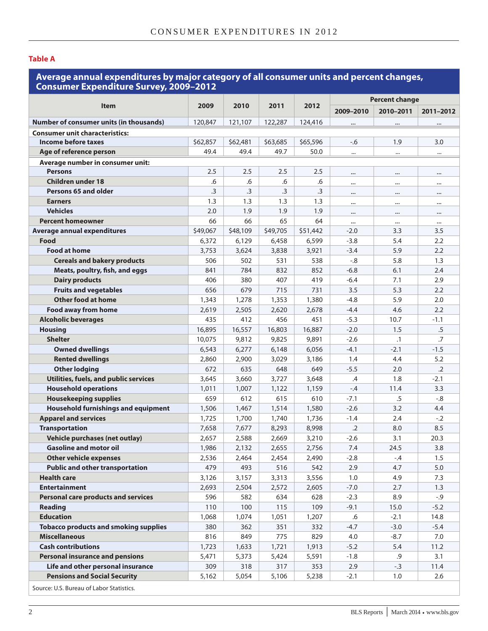#### **Table A**

#### **Average annual expenditures by major category of all consumer units and percent changes, Consumer Expenditure Survey, 2009–2012**

|                                                |                 |           |           |          |               | <b>Percent change</b> |            |  |  |
|------------------------------------------------|-----------------|-----------|-----------|----------|---------------|-----------------------|------------|--|--|
| <b>Item</b>                                    | 2009            | 2010      | 2011      | 2012     | 2009-2010     | 2010-2011             | 2011-2012  |  |  |
| <b>Number of consumer units (in thousands)</b> | 120,847         | 121,107   | 122,287   | 124,416  | $\cdots$      |                       |            |  |  |
| <b>Consumer unit characteristics:</b>          |                 |           |           |          |               |                       |            |  |  |
| Income before taxes                            | \$62,857        | \$62,481  | \$63,685  | \$65,596 | $-6$          | 1.9                   | 3.0        |  |  |
| Age of reference person                        | 49.4            | 49.4      | 49.7      | 50.0     | $\cdots$      |                       |            |  |  |
| Average number in consumer unit:               |                 |           |           |          |               |                       |            |  |  |
| <b>Persons</b>                                 | 2.5             | 2.5       | 2.5       | 2.5      | $\cdots$      |                       |            |  |  |
| <b>Children under 18</b>                       | .6              | .6        | .6        | .6       | $\cdots$      | $\cdots$              |            |  |  |
| Persons 65 and older                           | $\overline{.}3$ | $\cdot$ 3 | $\cdot$ 3 | .3       | $\cdots$      | $\cdots$              |            |  |  |
| <b>Earners</b>                                 | 1.3             | 1.3       | 1.3       | 1.3      | $\cdots$      |                       | $\cdots$   |  |  |
| <b>Vehicles</b>                                | 2.0             | 1.9       | 1.9       | 1.9      | $\cdots$      |                       |            |  |  |
| <b>Percent homeowner</b>                       | 66              | 66        | 65        | 64       | $\cdots$      | $\cdots$              | $\cdots$   |  |  |
| <b>Average annual expenditures</b>             | \$49,067        | \$48,109  | \$49,705  | \$51,442 | $-2.0$        | 3.3                   | 3.5        |  |  |
| Food                                           | 6,372           | 6,129     | 6,458     | 6,599    | $-3.8$        | 5.4                   | 2.2        |  |  |
| <b>Food at home</b>                            | 3,753           | 3,624     | 3,838     | 3,921    | $-3.4$        | 5.9                   | 2.2        |  |  |
| <b>Cereals and bakery products</b>             | 506             | 502       | 531       | 538      | $-0.8$        | 5.8                   | 1.3        |  |  |
| Meats, poultry, fish, and eggs                 | 841             | 784       | 832       | 852      | $-6.8$        | 6.1                   | 2.4        |  |  |
| <b>Dairy products</b>                          | 406             | 380       | 407       | 419      | $-6.4$        | 7.1                   | 2.9        |  |  |
| <b>Fruits and vegetables</b>                   | 656             | 679       | 715       | 731      | 3.5           | 5.3                   | 2.2        |  |  |
| Other food at home                             | 1,343           | 1,278     | 1,353     | 1,380    | $-4.8$        | 5.9                   | 2.0        |  |  |
| <b>Food away from home</b>                     | 2,619           | 2,505     | 2,620     | 2,678    | $-4.4$        | 4.6                   | 2.2        |  |  |
| <b>Alcoholic beverages</b>                     | 435             | 412       | 456       | 451      | $-5.3$        | 10.7                  | $-1.1$     |  |  |
| <b>Housing</b>                                 | 16,895          | 16,557    | 16,803    | 16,887   | $-2.0$        | 1.5                   | .5         |  |  |
| <b>Shelter</b>                                 | 10,075          | 9,812     | 9,825     | 9,891    | $-2.6$        | $\cdot$ 1             | .7         |  |  |
| <b>Owned dwellings</b>                         | 6,543           | 6,277     | 6,148     | 6,056    | $-4.1$        | $-2.1$                | $-1.5$     |  |  |
| <b>Rented dwellings</b>                        | 2,860           | 2,900     | 3,029     | 3,186    | 1.4           | 4.4                   | 5.2        |  |  |
| <b>Other lodging</b>                           | 672             | 635       | 648       | 649      | $-5.5$        | 2.0                   | $\cdot$ .2 |  |  |
| Utilities, fuels, and public services          | 3,645           | 3,660     | 3,727     | 3,648    | $\mathcal{A}$ | 1.8                   | $-2.1$     |  |  |
| <b>Household operations</b>                    | 1,011           | 1,007     | 1,122     | 1,159    | $-.4$         | 11.4                  | 3.3        |  |  |
| <b>Housekeeping supplies</b>                   | 659             | 612       | 615       | 610      | $-7.1$        | .5                    | $-0.8$     |  |  |
| <b>Household furnishings and equipment</b>     | 1,506           | 1,467     | 1,514     | 1,580    | $-2.6$        | 3.2                   | 4.4        |  |  |
| <b>Apparel and services</b>                    | 1,725           | 1,700     | 1,740     | 1,736    | $-1.4$        | 2.4                   | $-.2$      |  |  |
| <b>Transportation</b>                          | 7,658           | 7,677     | 8,293     | 8,998    | $\cdot$ .2    | 8.0                   | 8.5        |  |  |
| <b>Vehicle purchases (net outlay)</b>          | 2,657           | 2,588     | 2,669     | 3,210    | $-2.6$        | 3.1                   | 20.3       |  |  |
| <b>Gasoline and motor oil</b>                  | 1,986           | 2,132     | 2,655     | 2,756    | 7.4           | 24.5                  | 3.8        |  |  |
| <b>Other vehicle expenses</b>                  | 2,536           | 2,464     | 2,454     | 2,490    | $-2.8$        | -.4                   | 1.5        |  |  |
| <b>Public and other transportation</b>         | 479             | 493       | 516       | 542      | 2.9           | 4.7                   | 5.0        |  |  |
| <b>Health care</b>                             | 3,126           | 3,157     | 3,313     | 3,556    | 1.0           | 4.9                   | 7.3        |  |  |
| <b>Entertainment</b>                           | 2,693           | 2,504     | 2,572     | 2,605    | $-7.0$        | 2.7                   | 1.3        |  |  |
| <b>Personal care products and services</b>     | 596             | 582       | 634       | 628      | $-2.3$        | 8.9                   | $-0.9$     |  |  |
| <b>Reading</b>                                 | 110             | 100       | 115       | 109      | $-9.1$        | 15.0                  | $-5.2$     |  |  |
| <b>Education</b>                               | 1,068           | 1,074     | 1,051     | 1,207    | .6            | $-2.1$                | 14.8       |  |  |
| <b>Tobacco products and smoking supplies</b>   | 380             | 362       | 351       | 332      | $-4.7$        | $-3.0$                | $-5.4$     |  |  |
| <b>Miscellaneous</b>                           | 816             | 849       | 775       | 829      | 4.0           | $-8.7$                | 7.0        |  |  |
| <b>Cash contributions</b>                      | 1,723           | 1,633     | 1,721     | 1,913    | $-5.2$        | 5.4                   | 11.2       |  |  |
| <b>Personal insurance and pensions</b>         | 5,471           | 5,373     | 5,424     | 5,591    | $-1.8$        | .9                    | 3.1        |  |  |
| Life and other personal insurance              | 309             | 318       | 317       | 353      | 2.9           | $-.3$                 | 11.4       |  |  |
| <b>Pensions and Social Security</b>            | 5,162           | 5,054     | 5,106     | 5,238    | $-2.1$        | 1.0                   | 2.6        |  |  |
|                                                |                 |           |           |          |               |                       |            |  |  |

Source: U.S. Bureau of Labor Statistics.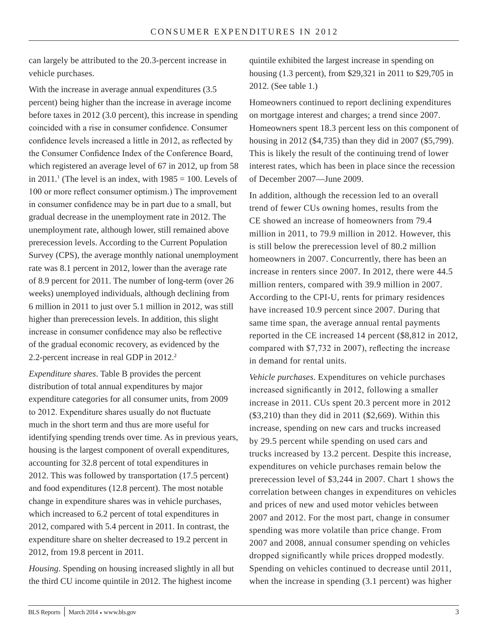can largely be attributed to the 20.3-percent increase in vehicle purchases.

With the increase in average annual expenditures (3.5 percent) being higher than the increase in average income before taxes in 2012 (3.0 percent), this increase in spending coincided with a rise in consumer confidence. Consumer confidence levels increased a little in 2012, as reflected by the Consumer Confidence Index of the Conference Board, which registered an average level of 67 in 2012, up from 58 in 2011.<sup>1</sup> (The level is an index, with  $1985 = 100$ . Levels of 100 or more reflect consumer optimism.) The improvement in consumer confidence may be in part due to a small, but gradual decrease in the unemployment rate in 2012. The unemployment rate, although lower, still remained above prerecession levels. According to the Current Population Survey (CPS), the average monthly national unemployment rate was 8.1 percent in 2012, lower than the average rate of 8.9 percent for 2011. The number of long-term (over 26 weeks) unemployed individuals, although declining from 6 million in 2011 to just over 5.1 million in 2012, was still higher than prerecession levels. In addition, this slight increase in consumer confidence may also be reflective of the gradual economic recovery, as evidenced by the 2.2-percent increase in real GDP in 2012.<sup>2</sup>

*Expenditure shares*. Table B provides the percent distribution of total annual expenditures by major expenditure categories for all consumer units, from 2009 to 2012. Expenditure shares usually do not fluctuate much in the short term and thus are more useful for identifying spending trends over time. As in previous years, housing is the largest component of overall expenditures, accounting for 32.8 percent of total expenditures in 2012. This was followed by transportation (17.5 percent) and food expenditures (12.8 percent). The most notable change in expenditure shares was in vehicle purchases, which increased to 6.2 percent of total expenditures in 2012, compared with 5.4 percent in 2011. In contrast, the expenditure share on shelter decreased to 19.2 percent in 2012, from 19.8 percent in 2011.

*Housing*. Spending on housing increased slightly in all but the third CU income quintile in 2012. The highest income

quintile exhibited the largest increase in spending on housing (1.3 percent), from \$29,321 in 2011 to \$29,705 in 2012. (See table 1.)

Homeowners continued to report declining expenditures on mortgage interest and charges; a trend since 2007. Homeowners spent 18.3 percent less on this component of housing in 2012 (\$4,735) than they did in 2007 (\$5,799). This is likely the result of the continuing trend of lower interest rates, which has been in place since the recession of December 2007—June 2009.

In addition, although the recession led to an overall trend of fewer CUs owning homes, results from the CE showed an increase of homeowners from 79.4 million in 2011, to 79.9 million in 2012. However, this is still below the prerecession level of 80.2 million homeowners in 2007. Concurrently, there has been an increase in renters since 2007. In 2012, there were 44.5 million renters, compared with 39.9 million in 2007. According to the CPI-U, rents for primary residences have increased 10.9 percent since 2007. During that same time span, the average annual rental payments reported in the CE increased 14 percent (\$8,812 in 2012, compared with \$7,732 in 2007), reflecting the increase in demand for rental units.

*Vehicle purchases*. Expenditures on vehicle purchases increased significantly in 2012, following a smaller increase in 2011. CUs spent 20.3 percent more in 2012 (\$3,210) than they did in 2011 (\$2,669). Within this increase, spending on new cars and trucks increased by 29.5 percent while spending on used cars and trucks increased by 13.2 percent. Despite this increase, expenditures on vehicle purchases remain below the prerecession level of \$3,244 in 2007. Chart 1 shows the correlation between changes in expenditures on vehicles and prices of new and used motor vehicles between 2007 and 2012. For the most part, change in consumer spending was more volatile than price change. From 2007 and 2008, annual consumer spending on vehicles dropped significantly while prices dropped modestly. Spending on vehicles continued to decrease until 2011, when the increase in spending  $(3.1$  percent) was higher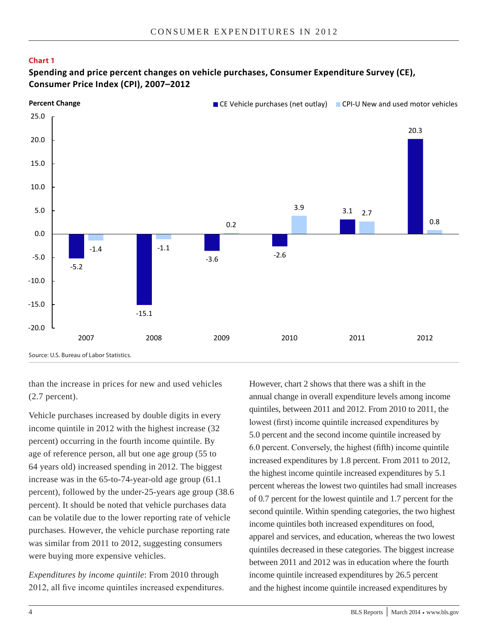#### **Chart 1**

#### **Spending and price percent changes on vehicle purchases, Consumer Expenditure Survey (CE), Consumer Price Index (CPI), 2007–2012**



than the increase in prices for new and used vehicles (2.7 percent).

Vehicle purchases increased by double digits in every income quintile in 2012 with the highest increase (32 percent) occurring in the fourth income quintile. By age of reference person, all but one age group (55 to 64 years old) increased spending in 2012. The biggest increase was in the 65-to-74-year-old age group (61.1 percent), followed by the under-25-years age group (38.6 percent). It should be noted that vehicle purchases data can be volatile due to the lower reporting rate of vehicle purchases. However, the vehicle purchase reporting rate was similar from 2011 to 2012, suggesting consumers were buying more expensive vehicles.

*Expenditures by income quintile*: From 2010 through 2012, all five income quintiles increased expenditures. However, chart 2 shows that there was a shift in the annual change in overall expenditure levels among income quintiles, between 2011 and 2012. From 2010 to 2011, the lowest (first) income quintile increased expenditures by 5.0 percent and the second income quintile increased by 6.0 percent. Conversely, the highest (fifth) income quintile increased expenditures by 1.8 percent. From 2011 to 2012, the highest income quintile increased expenditures by 5.1 percent whereas the lowest two quintiles had small increases of 0.7 percent for the lowest quintile and 1.7 percent for the second quintile. Within spending categories, the two highest income quintiles both increased expenditures on food, apparel and services, and education, whereas the two lowest quintiles decreased in these categories. The biggest increase between 2011 and 2012 was in education where the fourth income quintile increased expenditures by 26.5 percent and the highest income quintile increased expenditures by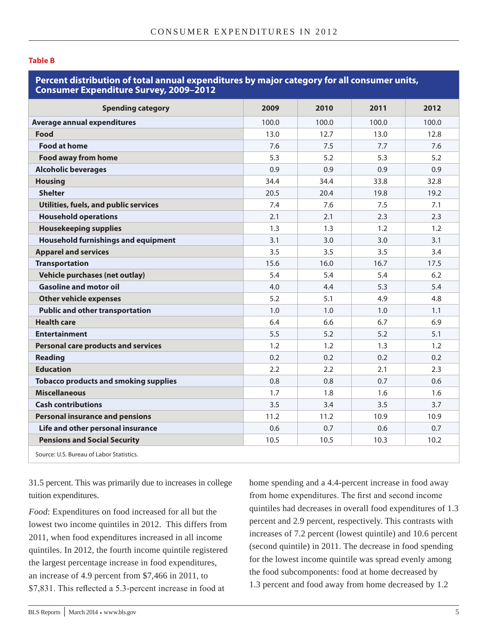#### **Table B**

#### **Percent distribution of total annual expenditures by major category for all consumer units, Consumer Expenditure Survey, 2009–2012**

| <b>Spending category</b>                     | 2009  | 2010  | 2011  | 2012  |
|----------------------------------------------|-------|-------|-------|-------|
| <b>Average annual expenditures</b>           | 100.0 | 100.0 | 100.0 | 100.0 |
| Food                                         | 13.0  | 12.7  | 13.0  | 12.8  |
| <b>Food at home</b>                          | 7.6   | 7.5   | 7.7   | 7.6   |
| <b>Food away from home</b>                   | 5.3   | 5.2   | 5.3   | 5.2   |
| <b>Alcoholic beverages</b>                   | 0.9   | 0.9   | 0.9   | 0.9   |
| <b>Housing</b>                               | 34.4  | 34.4  | 33.8  | 32.8  |
| <b>Shelter</b>                               | 20.5  | 20.4  | 19.8  | 19.2  |
| Utilities, fuels, and public services        | 7.4   | 7.6   | 7.5   | 7.1   |
| <b>Household operations</b>                  | 2.1   | 2.1   | 2.3   | 2.3   |
| <b>Housekeeping supplies</b>                 | 1.3   | 1.3   | 1.2   | 1.2   |
| <b>Household furnishings and equipment</b>   | 3.1   | 3.0   | 3.0   | 3.1   |
| <b>Apparel and services</b>                  | 3.5   | 3.5   | 3.5   | 3.4   |
| <b>Transportation</b>                        | 15.6  | 16.0  | 16.7  | 17.5  |
| Vehicle purchases (net outlay)               | 5.4   | 5.4   | 5.4   | 6.2   |
| <b>Gasoline and motor oil</b>                | 4.0   | 4.4   | 5.3   | 5.4   |
| <b>Other vehicle expenses</b>                | 5.2   | 5.1   | 4.9   | 4.8   |
| <b>Public and other transportation</b>       | 1.0   | 1.0   | 1.0   | 1.1   |
| <b>Health care</b>                           | 6.4   | 6.6   | 6.7   | 6.9   |
| <b>Entertainment</b>                         | 5.5   | 5.2   | 5.2   | 5.1   |
| <b>Personal care products and services</b>   | 1.2   | 1.2   | 1.3   | 1.2   |
| <b>Reading</b>                               | 0.2   | 0.2   | 0.2   | 0.2   |
| <b>Education</b>                             | 2.2   | 2.2   | 2.1   | 2.3   |
| <b>Tobacco products and smoking supplies</b> | 0.8   | 0.8   | 0.7   | 0.6   |
| <b>Miscellaneous</b>                         | 1.7   | 1.8   | 1.6   | 1.6   |
| <b>Cash contributions</b>                    | 3.5   | 3.4   | 3.5   | 3.7   |
| <b>Personal insurance and pensions</b>       | 11.2  | 11.2  | 10.9  | 10.9  |
| Life and other personal insurance            | 0.6   | 0.7   | 0.6   | 0.7   |
| <b>Pensions and Social Security</b>          | 10.5  | 10.5  | 10.3  | 10.2  |
| Source: U.S. Bureau of Labor Statistics.     |       |       |       |       |

31.5 percent. This was primarily due to increases in college tuition expenditures.

*Food*: Expenditures on food increased for all but the lowest two income quintiles in 2012. This differs from 2011, when food expenditures increased in all income quintiles. In 2012, the fourth income quintile registered the largest percentage increase in food expenditures, an increase of 4.9 percent from \$7,466 in 2011, to \$7,831. This reflected a 5.3-percent increase in food at

home spending and a 4.4-percent increase in food away from home expenditures. The first and second income quintiles had decreases in overall food expenditures of 1.3 percent and 2.9 percent, respectively. This contrasts with increases of 7.2 percent (lowest quintile) and 10.6 percent (second quintile) in 2011. The decrease in food spending for the lowest income quintile was spread evenly among the food subcomponents: food at home decreased by 1.3 percent and food away from home decreased by 1.2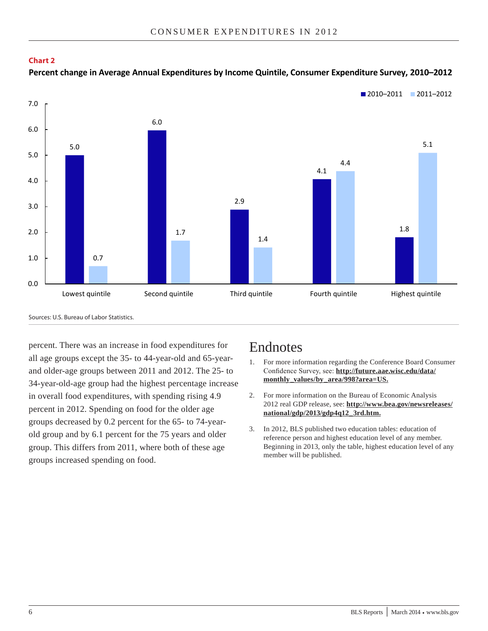



Source: U.S. Bureau of Labor Statistics. Sources: U.S. Bureau of Labor Statistics.

percent. There was an increase in food expenditures for all age groups except the 35- to 44-year-old and 65-yearand older-age groups between 2011 and 2012. The 25- to 34-year-old-age group had the highest percentage increase in overall food expenditures, with spending rising 4.9 percent in 2012. Spending on food for the older age groups decreased by 0.2 percent for the 65- to 74-yearold group and by 6.1 percent for the 75 years and older group. This differs from 2011, where both of these age groups increased spending on food.

### Endnotes

- 1. For more information regarding the Conference Board Consumer Confidence Survey, see: **http://future.aae.wisc.edu/data/ monthly\_values/by\_area/998?area=US.**
- 2. For more information on the Bureau of Economic Analysis 2012 real GDP release, see: **[http://www.bea.gov/newsreleases/](http://www.bea.gov/newsreleases/national/gdp/2013/gdp4q12_3rd.htm) [national/gdp/2013/gdp4q12\\_3rd.htm.](http://www.bea.gov/newsreleases/national/gdp/2013/gdp4q12_3rd.htm)**
- 3. In 2012, BLS published two education tables: education of reference person and highest education level of any member. Beginning in 2013, only the table, highest education level of any member will be published.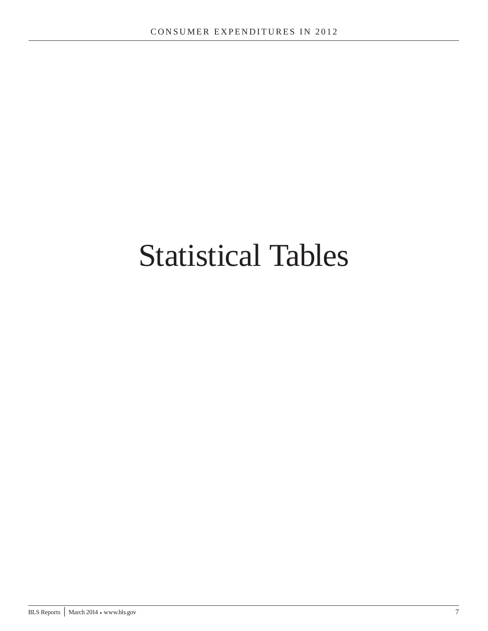# Statistical Tables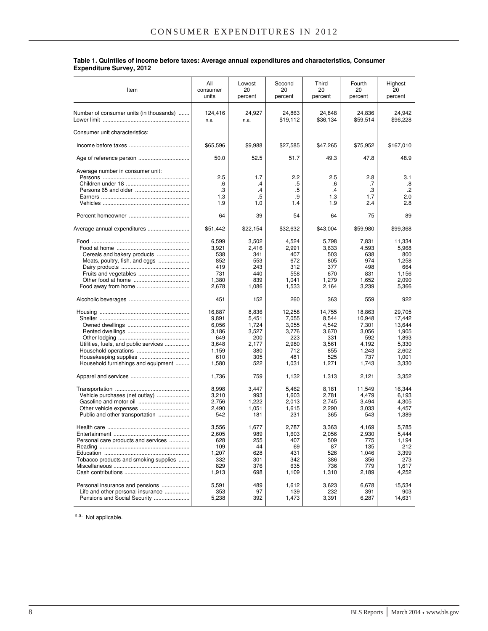| Table 1. Quintiles of income before taxes: Average annual expenditures and characteristics, Consumer |  |
|------------------------------------------------------------------------------------------------------|--|
| <b>Expenditure Survey, 2012</b>                                                                      |  |

| Item                                                                                                  | All<br>consumer<br>units                                                   | Lowest<br>20<br>percent                                               | Second<br>20<br>percent                                                  | Third<br>20<br>percent                                                   | Fourth<br>20<br>percent                                                     | Highest<br>20<br>percent                                                         |
|-------------------------------------------------------------------------------------------------------|----------------------------------------------------------------------------|-----------------------------------------------------------------------|--------------------------------------------------------------------------|--------------------------------------------------------------------------|-----------------------------------------------------------------------------|----------------------------------------------------------------------------------|
| Number of consumer units (in thousands)                                                               | 124,416<br>n.a.                                                            | 24,927<br>n.a.                                                        | 24,863<br>\$19,112                                                       | 24,848<br>\$36,134                                                       | 24,836<br>\$59,514                                                          | 24,942<br>\$96,228                                                               |
| Consumer unit characteristics:                                                                        |                                                                            |                                                                       |                                                                          |                                                                          |                                                                             |                                                                                  |
|                                                                                                       | \$65,596                                                                   | \$9,988                                                               | \$27,585                                                                 | \$47,265                                                                 | \$75,952                                                                    | \$167,010                                                                        |
|                                                                                                       | 50.0                                                                       | 52.5                                                                  | 51.7                                                                     | 49.3                                                                     | 47.8                                                                        | 48.9                                                                             |
| Average number in consumer unit:                                                                      | 2.5<br>.6                                                                  | 1.7<br>.4                                                             | 2.2<br>.5                                                                | 2.5<br>.6                                                                | 2.8<br>.7                                                                   | 3.1<br>.8                                                                        |
|                                                                                                       | .3                                                                         | .4                                                                    | .5                                                                       | $\cdot$                                                                  | .3                                                                          | $.2\phantom{0}$                                                                  |
|                                                                                                       | 1.3<br>1.9                                                                 | .5<br>1.0                                                             | .9<br>1.4                                                                | 1.3<br>1.9                                                               | 1.7<br>2.4                                                                  | 2.0<br>2.8                                                                       |
|                                                                                                       | 64                                                                         | 39                                                                    | 54                                                                       | 64                                                                       | 75                                                                          | 89                                                                               |
| Average annual expenditures                                                                           | \$51,442                                                                   | \$22,154                                                              | \$32,632                                                                 | \$43,004                                                                 | \$59,980                                                                    | \$99,368                                                                         |
| Cereals and bakery products<br>Meats, poultry, fish, and eggs                                         | 6,599<br>3,921<br>538<br>852<br>419<br>731<br>1,380                        | 3,502<br>2,416<br>341<br>553<br>243<br>440<br>839                     | 4,524<br>2,991<br>407<br>672<br>312<br>558<br>1,041                      | 5,798<br>3,633<br>503<br>805<br>377<br>670<br>1,279                      | 7,831<br>4,593<br>638<br>974<br>498<br>831<br>1.652                         | 11,334<br>5,968<br>800<br>1,258<br>664<br>1,156<br>2,090                         |
|                                                                                                       | 2,678                                                                      | 1,086                                                                 | 1,533                                                                    | 2,164                                                                    | 3,239                                                                       | 5,366                                                                            |
|                                                                                                       | 451                                                                        | 152                                                                   | 260                                                                      | 363                                                                      | 559                                                                         | 922                                                                              |
| Utilities, fuels, and public services<br>Housekeeping supplies<br>Household furnishings and equipment | 16,887<br>9,891<br>6,056<br>3,186<br>649<br>3,648<br>1,159<br>610<br>1,580 | 8,836<br>5,451<br>1,724<br>3,527<br>200<br>2,177<br>380<br>305<br>522 | 12,258<br>7,055<br>3,055<br>3,776<br>223<br>2,980<br>712<br>481<br>1,031 | 14,755<br>8,544<br>4,542<br>3,670<br>331<br>3,561<br>855<br>525<br>1,271 | 18,863<br>10,948<br>7,301<br>3,056<br>592<br>4,192<br>1,243<br>737<br>1,743 | 29,705<br>17,442<br>13,644<br>1,905<br>1,893<br>5,330<br>2,602<br>1,001<br>3,330 |
|                                                                                                       | 1,736                                                                      | 759                                                                   | 1,132                                                                    | 1,313                                                                    | 2,121                                                                       | 3,352                                                                            |
| Vehicle purchases (net outlay)<br>Public and other transportation                                     | 8,998<br>3,210<br>2,756<br>2,490<br>542                                    | 3,447<br>993<br>1,222<br>1,051<br>181                                 | 5,462<br>1,603<br>2,013<br>1,615<br>231                                  | 8,181<br>2,781<br>2.745<br>2,290<br>365                                  | 11,549<br>4,479<br>3,494<br>3,033<br>543                                    | 16,344<br>6,193<br>4,305<br>4,457<br>1,389                                       |
| Personal care products and services<br>Tobacco products and smoking supplies                          | 3,556<br>2,605<br>628<br>109<br>1,207<br>332<br>829<br>1,913               | 1,677<br>989<br>255<br>44<br>628<br>301<br>376<br>698                 | 2,787<br>1,603<br>407<br>69<br>431<br>342<br>635<br>1,109                | 3,363<br>2,056<br>509<br>87<br>526<br>386<br>736<br>1,310                | 4.169<br>2,930<br>775<br>135<br>1,046<br>356<br>779<br>2,189                | 5,785<br>5,444<br>1,194<br>212<br>3,399<br>273<br>1,617<br>4,252                 |
| Personal insurance and pensions<br>Life and other personal insurance<br>Pensions and Social Security  | 5,591<br>353<br>5,238                                                      | 489<br>97<br>392                                                      | 1,612<br>139<br>1,473                                                    | 3,623<br>232<br>3,391                                                    | 6,678<br>391<br>6,287                                                       | 15,534<br>903<br>14,631                                                          |

n.a. Not applicable.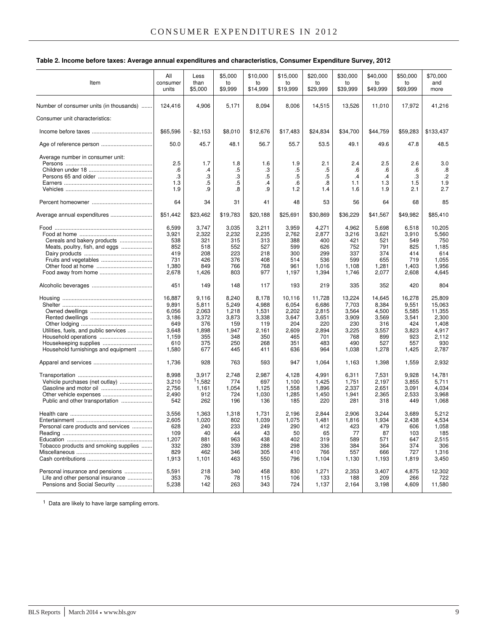#### **Table 2. Income before taxes: Average annual expenditures and characteristics, Consumer Expenditure Survey, 2012**

| Item                                    | All<br>consumer<br>units | Less<br>than<br>\$5,000 | \$5,000<br>to<br>\$9,999 | \$10,000<br>to<br>\$14,999 | \$15,000<br>to<br>\$19,999 | \$20,000<br>to<br>\$29,999 | \$30,000<br>to<br>\$39,999 | \$40,000<br>to<br>\$49,999 | \$50,000<br>to<br>\$69,999 | \$70,000<br>and<br>more |
|-----------------------------------------|--------------------------|-------------------------|--------------------------|----------------------------|----------------------------|----------------------------|----------------------------|----------------------------|----------------------------|-------------------------|
|                                         |                          |                         |                          |                            |                            |                            |                            |                            |                            |                         |
| Number of consumer units (in thousands) | 124,416                  | 4,906                   | 5,171                    | 8,094                      | 8,006                      | 14,515                     | 13,526                     | 11,010                     | 17,972                     | 41,216                  |
| Consumer unit characteristics:          |                          |                         |                          |                            |                            |                            |                            |                            |                            |                         |
|                                         | \$65,596                 | $-$ \$2,153             | \$8,010                  | \$12,676                   | \$17,483                   | \$24,834                   | \$34,700                   | \$44,759                   | \$59,283                   | \$133,437               |
|                                         | 50.0                     | 45.7                    | 48.1                     | 56.7                       | 55.7                       | 53.5                       | 49.1                       | 49.6                       | 47.8                       | 48.5                    |
| Average number in consumer unit:        |                          |                         |                          |                            |                            |                            |                            |                            |                            |                         |
|                                         | 2.5                      | 1.7                     | 1.8                      | 1.6                        | 1.9                        | 2.1                        | 2.4                        | 2.5                        | 2.6                        | 3.0                     |
|                                         | .6                       | $\cdot$                 | .5                       | .3                         | .5                         | .5                         | .6                         | .6                         | .6                         | .8                      |
|                                         | .3                       | .3                      | .3                       | .5                         | $.5\,$                     | .5                         | $\cdot$ 4                  | $\cdot$                    | .3                         | $.2\phantom{0}$         |
|                                         | 1.3                      | $.5\,$                  | .5                       | $\cdot$                    | .6                         | .8                         | 1.1                        | 1.3                        | 1.5                        | 1.9                     |
|                                         | 1.9                      | .9                      | .8                       | .9                         | 1.2                        | 1.4                        | 1.6                        | 1.9                        | 2.1                        | 2.7                     |
|                                         |                          |                         |                          |                            |                            |                            |                            |                            |                            |                         |
|                                         | 64                       | 34                      | 31                       | 41                         | 48                         | 53                         | 56                         | 64                         | 68                         | 85                      |
| Average annual expenditures             | \$51,442                 | \$23,462                | \$19,783                 | \$20,188                   | \$25,691                   | \$30,869                   | \$36,229                   | \$41,567                   | \$49,982                   | \$85,410                |
|                                         | 6,599                    | 3,747                   | 3,035                    | 3,211                      | 3,959                      | 4,271                      | 4,962                      | 5,698                      | 6,518                      | 10,205                  |
|                                         | 3,921                    | 2,322                   | 2,232                    | 2,235                      | 2,762                      | 2,877                      | 3,216                      | 3,621                      | 3,910                      | 5,560                   |
|                                         |                          |                         | 315                      |                            |                            |                            |                            |                            |                            |                         |
| Cereals and bakery products             | 538                      | 321                     |                          | 313                        | 388                        | 400                        | 421                        | 521                        | 549                        | 750                     |
| Meats, poultry, fish, and eggs          | 852                      | 518                     | 552                      | 527                        | 599                        | 626                        | 752                        | 791                        | 825                        | 1,185                   |
|                                         | 419                      | 208                     | 223                      | 218                        | 300                        | 299                        | 337                        | 374                        | 414                        | 614                     |
| Fruits and vegetables                   | 731                      | 426                     | 376                      | 408                        | 514                        | 536                        | 599                        | 655                        | 719                        | 1,055                   |
|                                         | 1,380                    | 849                     | 766                      | 768                        | 961                        | 1,016                      | 1,108                      | 1,281                      | 1,403                      | 1,956                   |
|                                         | 2,678                    | 1,426                   | 803                      | 977                        | 1,197                      | 1,394                      | 1,746                      | 2,077                      | 2,608                      | 4,645                   |
|                                         | 451                      | 149                     | 148                      | 117                        | 193                        | 219                        | 335                        | 352                        | 420                        | 804                     |
|                                         | 16,887                   | 9,116                   | 8,240                    | 8,178                      | 10,116                     | 11,728                     | 13,224                     | 14,645                     | 16,278                     | 25,809                  |
|                                         | 9,891                    | 5,811                   | 5,249                    | 4,988                      | 6,054                      | 6,686                      | 7,703                      | 8,384                      | 9,551                      | 15,063                  |
|                                         |                          |                         |                          |                            |                            |                            |                            |                            |                            |                         |
|                                         | 6,056                    | 2,063                   | 1,218                    | 1,531                      | 2,202                      | 2,815                      | 3,564                      | 4,500                      | 5,585                      | 11,355                  |
|                                         | 3,186                    | 3,372                   | 3,873                    | 3,338                      | 3,647                      | 3,651                      | 3,909                      | 3,569                      | 3,541                      | 2,300                   |
|                                         | 649                      | 376                     | 159                      | 119                        | 204                        | 220                        | 230                        | 316                        | 424                        | 1,408                   |
| Utilities, fuels, and public services   | 3,648                    | 1,898                   | 1,947                    | 2,161                      | 2,609                      | 2,894                      | 3,225                      | 3,557                      | 3,823                      | 4,917                   |
|                                         | 1,159                    | 355                     | 348                      | 350                        | 465                        | 701                        | 768                        | 899                        | 923                        | 2,112                   |
| Housekeeping supplies                   | 610                      | 375                     | 250                      | 268                        | 351                        | 483                        | 490                        | 527                        | 557                        | 930                     |
| Household furnishings and equipment     | 1,580                    | 677                     | 445                      | 411                        | 636                        | 964                        | 1,038                      | 1,278                      | 1,425                      | 2,787                   |
|                                         | 1,736                    | 928                     | 763                      | 593                        | 947                        | 1,064                      | 1,163                      | 1,398                      | 1,559                      | 2,932                   |
|                                         | 8,998                    | 3,917                   | 2,748                    | 2,987                      | 4,128                      | 4,991                      | 6,311                      | 7,531                      | 9,928                      | 14,781                  |
| Vehicle purchases (net outlay)          | 3,210                    | 11,582                  | 774                      | 697                        | 1,100                      | 1,425                      | 1,751                      | 2,197                      | 3,855                      | 5,711                   |
|                                         |                          |                         |                          |                            |                            |                            |                            |                            |                            |                         |
|                                         | 2,756                    | 1,161                   | 1,054                    | 1,125                      | 1,558                      | 1,896                      | 2,337                      | 2,651                      | 3,091                      | 4,034<br>3,968          |
|                                         | 2,490                    | 912                     | 724                      | 1,030                      | 1,285                      | 1,450                      | 1,941                      | 2,365                      | 2,533                      |                         |
| Public and other transportation         | 542                      | 262                     | 196                      | 136                        | 185                        | 220                        | 281                        | 318                        | 449                        | 1,068                   |
|                                         |                          |                         |                          |                            |                            |                            |                            |                            |                            | 5,212                   |
|                                         | 3,556                    | 1,363                   | 1,318                    | 1,731                      | 2,196                      | 2,844                      | 2,906                      | 3,244                      | 3,689                      |                         |
|                                         | 2,605                    | 1,020                   | 802                      | 1,039                      | 1,075                      | 1,481                      | 1,816                      | 1,934                      | 2,438                      | 4,534                   |
| Personal care products and services     | 628                      | 240                     | 233                      | 249                        | 290                        | 412                        | 423                        | 479                        | 606                        | 1,058                   |
|                                         | 109                      | 40                      | 44                       | 43                         | 50                         | 65                         | 77                         | 87                         | 103                        | 185                     |
|                                         | 1,207                    | 881                     | 963                      | 438                        | 402                        | 319                        | 589                        | 571                        | 647                        | 2,515                   |
| Tobacco products and smoking supplies   | 332                      | 280                     | 339                      | 288                        | 298                        | 336                        | 384                        | 364                        | 374                        | 306                     |
|                                         | 829                      | 462                     | 346                      | 305                        | 410                        | 766                        | 557                        | 666                        | 727                        | 1,316                   |
|                                         | 1,913                    | 1,101                   | 463                      | 550                        | 796                        | 1,104                      | 1,130                      | 1,193                      | 1,819                      | 3,450                   |
| Personal insurance and pensions         | 5,591                    | 218                     | 340                      | 458                        | 830                        | 1,271                      | 2,353                      | 3,407                      | 4,875                      | 12,302                  |
| Life and other personal insurance       | 353                      | 76                      | 78                       | 115                        | 106                        | 133                        | 188                        | 209                        | 266                        | 722                     |
| Pensions and Social Security            | 5,238                    |                         | 263                      | 343                        | 724                        |                            |                            |                            |                            | 11,580                  |
|                                         |                          | 142                     |                          |                            |                            | 1,137                      | 2,164                      | 3,198                      | 4,609                      |                         |
|                                         |                          |                         |                          |                            |                            |                            |                            |                            |                            |                         |

<sup>1</sup> Data are likely to have large sampling errors.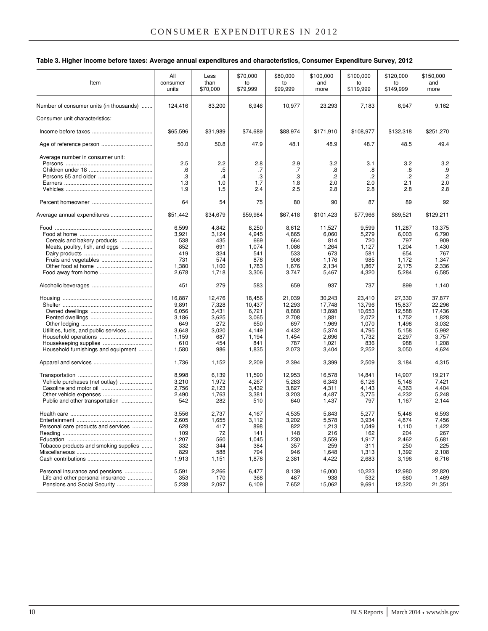#### **Table 3. Higher income before taxes: Average annual expenditures and characteristics, Consumer Expenditure Survey, 2012**

| Item                                                                                                  | All<br>consumer<br>units                                                   | Less<br>than<br>\$70,000                                               | \$70,000<br>to<br>\$79,999                                                  | \$80,000<br>to<br>\$99,999                                                  | \$100.000<br>and<br>more                                                         | \$100.000<br>to<br>\$119,999                                                   | \$120,000<br>to<br>\$149,999                                                   | \$150,000<br>and<br>more                                                         |
|-------------------------------------------------------------------------------------------------------|----------------------------------------------------------------------------|------------------------------------------------------------------------|-----------------------------------------------------------------------------|-----------------------------------------------------------------------------|----------------------------------------------------------------------------------|--------------------------------------------------------------------------------|--------------------------------------------------------------------------------|----------------------------------------------------------------------------------|
| Number of consumer units (in thousands)                                                               | 124,416                                                                    | 83,200                                                                 | 6,946                                                                       | 10,977                                                                      | 23,293                                                                           | 7,183                                                                          | 6,947                                                                          | 9,162                                                                            |
| Consumer unit characteristics:                                                                        |                                                                            |                                                                        |                                                                             |                                                                             |                                                                                  |                                                                                |                                                                                |                                                                                  |
|                                                                                                       | \$65,596                                                                   | \$31,989                                                               | \$74,689                                                                    | \$88,974                                                                    | \$171,910                                                                        | \$108,977                                                                      | \$132,318                                                                      | \$251,270                                                                        |
|                                                                                                       | 50.0                                                                       | 50.8                                                                   | 47.9                                                                        | 48.1                                                                        | 48.9                                                                             | 48.7                                                                           | 48.5                                                                           | 49.4                                                                             |
| Average number in consumer unit:                                                                      | 2.5<br>.6<br>.3<br>1.3<br>1.9                                              | 2.2<br>$.5\,$<br>.4<br>1.0<br>1.5                                      | 2.8<br>.7<br>.3<br>1.7<br>2.4                                               | 2.9<br>.7<br>.3<br>1.8<br>2.5                                               | 3.2<br>.8<br>.2<br>2.0<br>2.8                                                    | 3.1<br>.8<br>$\cdot$<br>2.0<br>2.8                                             | 3.2<br>.8<br>$\cdot$<br>2.1<br>2.8                                             | 3.2<br>.9<br>$.2\phantom{0}$<br>2.0<br>2.8                                       |
|                                                                                                       | 64                                                                         | 54                                                                     | 75                                                                          | 80                                                                          | 90                                                                               | 87                                                                             | 89                                                                             | 92                                                                               |
| Average annual expenditures                                                                           | \$51,442                                                                   | \$34,679                                                               | \$59,984                                                                    | \$67,418                                                                    | \$101,423                                                                        | \$77,966                                                                       | \$89,521                                                                       | \$129,211                                                                        |
| Cereals and bakery products<br>Meats, poultry, fish, and eggs                                         | 6,599<br>3,921<br>538<br>852<br>419<br>731<br>1,380<br>2,678               | 4,842<br>3,124<br>435<br>691<br>324<br>574<br>1,100<br>1,718           | 8,250<br>4,945<br>669<br>1,074<br>541<br>878<br>1,783<br>3,306              | 8,612<br>4,865<br>664<br>1,086<br>533<br>906<br>1,676<br>3,747              | 11,527<br>6,060<br>814<br>1,264<br>673<br>1,176<br>2,134<br>5,467                | 9,599<br>5,279<br>720<br>1,127<br>581<br>985<br>1,867<br>4,320                 | 11,287<br>6,003<br>797<br>1,204<br>654<br>1,172<br>2,175<br>5,284              | 13,375<br>6,790<br>909<br>1,430<br>767<br>1,347<br>2,336<br>6,585                |
|                                                                                                       | 451                                                                        | 279                                                                    | 583                                                                         | 659                                                                         | 937                                                                              | 737                                                                            | 899                                                                            | 1,140                                                                            |
| Utilities, fuels, and public services<br>Housekeeping supplies<br>Household furnishings and equipment | 16,887<br>9,891<br>6,056<br>3,186<br>649<br>3,648<br>1,159<br>610<br>1,580 | 12,476<br>7,328<br>3,431<br>3,625<br>272<br>3,020<br>687<br>454<br>986 | 18,456<br>10,437<br>6,721<br>3,065<br>650<br>4,149<br>1,194<br>841<br>1,835 | 21,039<br>12,293<br>8,888<br>2,708<br>697<br>4,432<br>1,454<br>787<br>2,073 | 30,243<br>17,748<br>13,898<br>1,881<br>1,969<br>5,374<br>2,696<br>1,021<br>3,404 | 23,410<br>13,796<br>10,653<br>2,072<br>1,070<br>4,795<br>1,732<br>836<br>2,252 | 27,330<br>15,837<br>12,588<br>1,752<br>1,498<br>5,158<br>2,297<br>988<br>3,050 | 37,877<br>22,296<br>17,436<br>1,828<br>3,032<br>5,992<br>3,757<br>1,208<br>4,624 |
|                                                                                                       | 1,736                                                                      | 1,152                                                                  | 2,209                                                                       | 2,394                                                                       | 3,399                                                                            | 2,509                                                                          | 3,184                                                                          | 4,315                                                                            |
| Vehicle purchases (net outlay)<br>Public and other transportation                                     | 8,998<br>3,210<br>2,756<br>2,490<br>542                                    | 6,139<br>1,972<br>2,123<br>1,763<br>282                                | 11,590<br>4,267<br>3,432<br>3,381<br>510                                    | 12,953<br>5,283<br>3,827<br>3,203<br>640                                    | 16,578<br>6,343<br>4,311<br>4,487<br>1,437                                       | 14,841<br>6,126<br>4,143<br>3,775<br>797                                       | 14,907<br>5,146<br>4,363<br>4,232<br>1,167                                     | 19,217<br>7,421<br>4,404<br>5,248<br>2,144                                       |
| Personal care products and services<br>Tobacco products and smoking supplies                          | 3,556<br>2,605<br>628<br>109<br>1,207<br>332<br>829<br>1,913               | 2,737<br>1,655<br>41/<br>72<br>560<br>344<br>588<br>1,151              | 4,167<br>3,112<br>898<br>141<br>1,045<br>384<br>794<br>1,878                | 4,535<br>3,202<br>822<br>148<br>1,230<br>357<br>946<br>2,381                | 5,843<br>5,578<br>1,213<br>216<br>3,559<br>259<br>1,648<br>4,422                 | 5,277<br>3,934<br>1,049<br>162<br>1,917<br>311<br>1,313<br>2,683               | 5,448<br>4,874<br>1,110<br>204<br>2,462<br>250<br>1,392<br>3,196               | 6,593<br>7,456<br>1,422<br>267<br>5,681<br>225<br>2,108<br>6,716                 |
| Personal insurance and pensions<br>Life and other personal insurance<br>Pensions and Social Security  | 5,591<br>353<br>5,238                                                      | 2,266<br>170<br>2,097                                                  | 6,477<br>368<br>6,109                                                       | 8,139<br>487<br>7,652                                                       | 16,000<br>938<br>15,062                                                          | 10,223<br>532<br>9,691                                                         | 12,980<br>660<br>12,320                                                        | 22,820<br>1,469<br>21,351                                                        |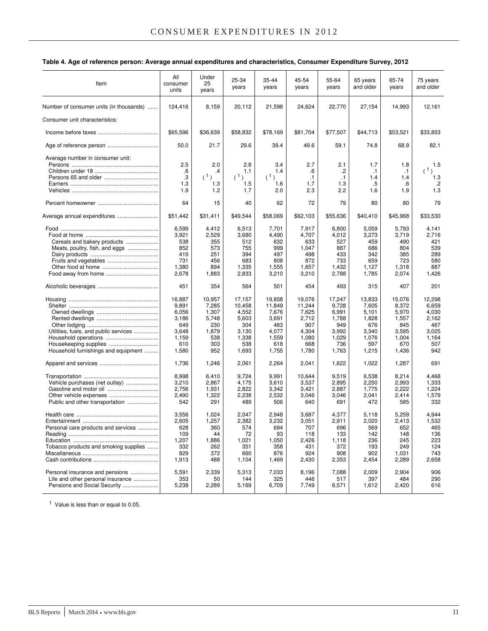|  | Table 4. Age of reference person: Average annual expenditures and characteristics, Consumer Expenditure Survey, 2012 |  |
|--|----------------------------------------------------------------------------------------------------------------------|--|
|--|----------------------------------------------------------------------------------------------------------------------|--|

| Item                                                                                                            | All<br>consumer<br>units                                                   | Under<br>25<br>years                                                   | 25-34<br>years                                                              | 35-44<br>years                                                              | 45-54<br>years                                                              | 55-64<br>years                                                             | 65 years<br>and older                                                      | 65-74<br>years                                                             | 75 years<br>and older                                                    |
|-----------------------------------------------------------------------------------------------------------------|----------------------------------------------------------------------------|------------------------------------------------------------------------|-----------------------------------------------------------------------------|-----------------------------------------------------------------------------|-----------------------------------------------------------------------------|----------------------------------------------------------------------------|----------------------------------------------------------------------------|----------------------------------------------------------------------------|--------------------------------------------------------------------------|
| Number of consumer units (in thousands)                                                                         | 124,416                                                                    | 8,159                                                                  | 20,112                                                                      | 21,598                                                                      | 24,624                                                                      | 22,770                                                                     | 27,154                                                                     | 14,993                                                                     | 12,161                                                                   |
| Consumer unit characteristics:                                                                                  |                                                                            |                                                                        |                                                                             |                                                                             |                                                                             |                                                                            |                                                                            |                                                                            |                                                                          |
|                                                                                                                 | \$65,596                                                                   | \$36,639                                                               | \$58,832                                                                    | \$78,169                                                                    | \$81,704                                                                    | \$77,507                                                                   | \$44,713                                                                   | \$53,521                                                                   | \$33,853                                                                 |
|                                                                                                                 | 50.0                                                                       | 21.7                                                                   | 29.6                                                                        | 39.4                                                                        | 49.6                                                                        | 59.1                                                                       | 74.8                                                                       | 68.9                                                                       | 82.1                                                                     |
| Average number in consumer unit:                                                                                | 2.5<br>.6<br>.3<br>1.3<br>1.9                                              | 2.0<br>.4<br>(1)<br>1.3<br>1.2                                         | 2.8<br>1.1<br>(1)<br>1.5<br>1.7                                             | 3.4<br>1.4<br>(1)<br>1.6<br>2.0                                             | 2.7<br>.6<br>$\cdot$ 1<br>1.7<br>2.3                                        | 2.1<br>.2<br>$\cdot$ 1<br>1.3<br>2.2                                       | 1.7<br>$\cdot$ 1<br>1.4<br>.5<br>1.6                                       | 1.8<br>$\cdot$ 1<br>1.4<br>.6<br>1.9                                       | 1.5<br>(1)<br>1.3<br>.2<br>1.3                                           |
|                                                                                                                 | 64                                                                         | 15                                                                     | 40                                                                          | 62                                                                          | 72                                                                          | 79                                                                         | 80                                                                         | 80                                                                         | 79                                                                       |
| Average annual expenditures                                                                                     | \$51,442                                                                   | \$31,411                                                               | \$49,544                                                                    | \$58,069                                                                    | \$62,103                                                                    | \$55,636                                                                   | \$40,410                                                                   | \$45,968                                                                   | \$33,530                                                                 |
| Cereals and bakery products<br>Meats, poultry, fish, and eggs<br>Food away from home                            | 6,599<br>3,921<br>538<br>852<br>419<br>731<br>1,380<br>2,678               | 4,412<br>2,529<br>355<br>573<br>251<br>456<br>894<br>1,883             | 6,513<br>3,680<br>512<br>755<br>394<br>683<br>1,335<br>2,833                | 7,701<br>4,490<br>632<br>999<br>497<br>808<br>1,555<br>3,210                | 7,917<br>4,707<br>633<br>1,047<br>498<br>872<br>1,657<br>3,210              | 6,800<br>4,012<br>527<br>887<br>433<br>733<br>1,432<br>2,788               | 5,059<br>3,273<br>459<br>686<br>342<br>659<br>1,127<br>1,785               | 5,793<br>3,719<br>490<br>804<br>385<br>723<br>1,318<br>2,074               | 4,141<br>2,716<br>421<br>539<br>289<br>580<br>887<br>1,426               |
|                                                                                                                 | 451                                                                        | 354                                                                    | 564                                                                         | 501                                                                         | 454                                                                         | 493                                                                        | 315                                                                        | 407                                                                        | 201                                                                      |
| Utilities, fuels, and public services<br>Housekeeping supplies<br>Household furnishings and equipment           | 16,887<br>9,891<br>6,056<br>3,186<br>649<br>3,648<br>1,159<br>610<br>1,580 | 10,957<br>7,285<br>1,307<br>5,748<br>230<br>1,879<br>538<br>303<br>952 | 17,157<br>10,458<br>4,552<br>5,603<br>304<br>3,130<br>1,338<br>538<br>1,693 | 19,858<br>11,849<br>7,676<br>3,691<br>483<br>4,077<br>1,559<br>618<br>1,755 | 19,076<br>11,244<br>7,625<br>2,712<br>907<br>4,304<br>1,080<br>668<br>1,780 | 17,247<br>9,728<br>6,991<br>1,788<br>949<br>3,992<br>1,029<br>736<br>1,763 | 13,833<br>7,605<br>5,101<br>1,828<br>676<br>3,340<br>1,076<br>597<br>1,215 | 15,076<br>8,372<br>5,970<br>1,557<br>845<br>3,595<br>1,004<br>670<br>1,436 | 12,298<br>6.659<br>4,030<br>2,162<br>467<br>3,025<br>1,164<br>507<br>942 |
|                                                                                                                 | 1,736                                                                      | 1,246                                                                  | 2,061                                                                       | 2,264                                                                       | 2,041                                                                       | 1,622                                                                      | 1,022                                                                      | 1,287                                                                      | 691                                                                      |
| Vehicle purchases (net outlay)<br>Public and other transportation                                               | 8,998<br>3,210<br>2,756<br>2,490<br>542                                    | 6,410<br>2,867<br>1,931<br>1,322<br>291                                | 9,724<br>4,175<br>2,822<br>2,238<br>489                                     | 9,991<br>3,610<br>3,342<br>2,532<br>506                                     | 10,644<br>3,537<br>3,421<br>3,046<br>640                                    | 9,519<br>2,895<br>2,887<br>3,046<br>691                                    | 6,538<br>2,250<br>1,775<br>2,041<br>472                                    | 8,214<br>2,993<br>2,222<br>2,414<br>585                                    | 4,468<br>1,333<br>1,224<br>1,579<br>332                                  |
| Personal care products and services<br>Tobacco products and smoking supplies<br>Personal insurance and pensions | 3,556<br>2,605<br>628<br>109<br>1,207<br>332<br>829<br>1,913<br>5,591      | 1,024<br>1,257<br>360<br>44<br>1,886<br>262<br>372<br>488<br>2,339     | 2,047<br>2,382<br>574<br>72<br>1,021<br>351<br>660<br>1,104<br>5,313        | 2.948<br>3,232<br>694<br>93<br>1,050<br>358<br>876<br>1,469<br>7,033        | 3,687<br>3,051<br>707<br>118<br>2,426<br>431<br>924<br>2,430<br>8,196       | 4,377<br>2,911<br>696<br>133<br>1,118<br>372<br>908<br>2,353<br>7,088      | 5,118<br>2,020<br>569<br>142<br>236<br>193<br>902<br>2,454<br>2,009        | 5,259<br>2,413<br>652<br>148<br>245<br>249<br>1,031<br>2,289<br>2,904      | 4,944<br>1,532<br>465<br>136<br>223<br>124<br>743<br>2,658<br>906        |
| Life and other personal insurance<br>Pensions and Social Security                                               | 353<br>5,238                                                               | 50<br>2,289                                                            | 144<br>5,169                                                                | 325<br>6,709                                                                | 446<br>7,749                                                                | 517<br>6,571                                                               | 397<br>1,612                                                               | 484<br>2,420                                                               | 290<br>616                                                               |

<sup>1</sup> Value is less than or equal to 0.05.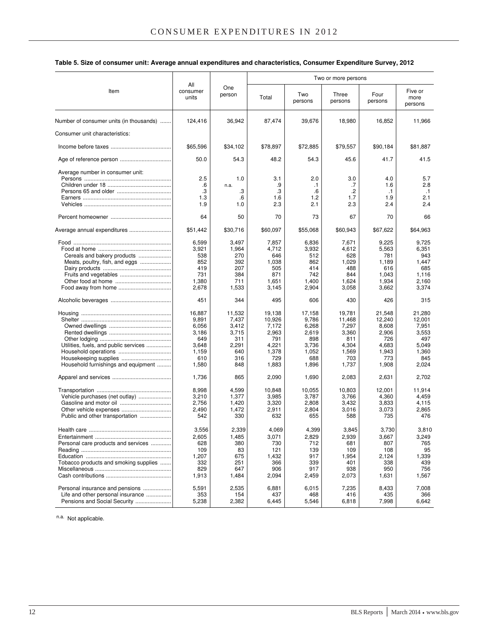|                                         |                          |               |          | Two or more persons |                  |                 |                            |
|-----------------------------------------|--------------------------|---------------|----------|---------------------|------------------|-----------------|----------------------------|
| Item                                    | All<br>consumer<br>units | One<br>person | Total    | Two<br>persons      | Three<br>persons | Four<br>persons | Five or<br>more<br>persons |
| Number of consumer units (in thousands) | 124,416                  | 36,942        | 87,474   | 39,676              | 18,980           | 16,852          | 11,966                     |
| Consumer unit characteristics:          |                          |               |          |                     |                  |                 |                            |
|                                         | \$65,596                 | \$34,102      | \$78,897 | \$72,885            | \$79,557         | \$90,184        | \$81,887                   |
|                                         | 50.0                     | 54.3          | 48.2     | 54.3                | 45.6             | 41.7            | 41.5                       |
| Average number in consumer unit:        | 2.5                      | 1.0           | 3.1      | 2.0                 | 3.0              | 4.0             | 5.7                        |
|                                         |                          |               |          |                     |                  |                 |                            |
|                                         | .6                       | n.a.          | .9       | $\cdot$ 1           | .7               | 1.6             | 2.8                        |
|                                         | .3                       | .3            | .3       | .6                  | .2               | $\cdot$ 1       | $\cdot$ 1                  |
|                                         | 1.3                      | .6            | 1.6      | 1.2                 | 1.7              | 1.9             | 2.1                        |
|                                         | 1.9                      | 1.0           | 2.3      | 2.1                 | 2.3              | 2.4             | 2.4                        |
|                                         | 64                       | 50            | 70       | 73                  | 67               | 70              | 66                         |
| Average annual expenditures             | \$51,442                 | \$30,716      | \$60,097 | \$55,068            | \$60,943         | \$67,622        | \$64,963                   |
|                                         | 6,599                    | 3,497         | 7,857    | 6,836               | 7,671            | 9,225           | 9,725                      |
|                                         | 3,921                    | 1,964         | 4,712    | 3,932               | 4,612            | 5,563           | 6,351                      |
|                                         |                          |               |          |                     |                  |                 |                            |
| Cereals and bakery products             | 538                      | 270           | 646      | 512                 | 628              | 781             | 943                        |
| Meats, poultry, fish, and eggs          | 852                      | 392           | 1,038    | 862                 | 1,029            | 1,189           | 1,447                      |
|                                         | 419                      | 207           | 505      | 414                 | 488              | 616             | 685                        |
| Fruits and vegetables                   | 731                      | 384           | 871      | 742                 | 844              | 1,043           | 1,116                      |
|                                         | 1,380                    | 711           | 1,651    | 1,400               | 1,624            | 1,934           | 2,160                      |
|                                         | 2,678                    | 1,533         | 3,145    | 2,904               | 3,058            | 3,662           | 3,374                      |
|                                         | 451                      | 344           | 495      | 606                 | 430              | 426             | 315                        |
|                                         | 16,887                   | 11,532        | 19,138   | 17,158              | 19,781           | 21,548          | 21,280                     |
|                                         | 9,891                    | 7,437         | 10,926   | 9,786               | 11,468           | 12,240          | 12,001                     |
|                                         | 6,056                    | 3,412         | 7,172    | 6,268               | 7,297            | 8,608           | 7,951                      |
|                                         | 3,186                    | 3,715         | 2,963    | 2,619               | 3,360            | 2,906           | 3,553                      |
|                                         | 649                      | 311           | 791      | 898                 | 811              | 726             | 497                        |
| Utilities, fuels, and public services   | 3,648                    | 2,291         | 4,221    | 3,736               | 4,304            | 4,683           | 5.049                      |
|                                         |                          | 640           |          |                     |                  |                 | 1,360                      |
|                                         | 1,159                    |               | 1,378    | 1,052               | 1,569            | 1,943           |                            |
|                                         | 610                      | 316           | 729      | 688                 | 703              | 773             | 845                        |
| Household furnishings and equipment     | 1,580                    | 848           | 1,883    | 1,896               | 1,737            | 1,908           | 2,024                      |
|                                         | 1,736                    | 865           | 2,090    | 1,690               | 2,083            | 2,631           | 2,702                      |
|                                         | 8,998                    | 4,599         | 10,848   | 10,055              | 10,803           | 12,001          | 11,914                     |
| Vehicle purchases (net outlay)          | 3,210                    | 1,377         | 3,985    | 3,787               | 3,766            | 4,360           | 4,459                      |
|                                         | 2,756                    | 1,420         | 3,320    | 2,808               | 3,432            | 3,833           | 4,115                      |
|                                         | 2,490                    | 1,472         | 2,911    | 2,804               | 3,016            | 3,073           | 2,865                      |
| Public and other transportation         | 542                      | 330           | 632      | 655                 | 588              | 735             | 476                        |
|                                         |                          |               |          |                     |                  |                 |                            |
|                                         | 3,556                    | 2,339         | 4,069    | 4,399               | 3,845            | 3,730           | 3,810                      |
|                                         | 2,605                    | 1,485         | 3,071    | 2,829               | 2,939            | 3,667           | 3,249                      |
| Personal care products and services     | 628                      | 380           | 730      | 712                 | 681              | 807             | 765                        |
|                                         | 109                      | 83            | 121      | 139                 | 109              | 108             | 95                         |
|                                         | 1,207                    | 675           | 1,432    | 917                 | 1,954            | 2,124           | 1,339                      |
| Tobacco products and smoking supplies   | 332                      | 251           | 366      | 339                 | 401              | 338             | 439                        |
|                                         | 829                      |               | 906      | 917                 | 938              | 950             | 756                        |
|                                         | 1,913                    | 647<br>1,484  | 2,094    | 2,459               | 2,073            | 1,631           | 1,567                      |
|                                         |                          |               |          |                     |                  |                 |                            |
| Personal insurance and pensions         | 5,591                    | 2,535         | 6,881    | 6,015               | 7,235            | 8,433           | 7,008                      |
| Life and other personal insurance       | 353                      | 154           | 437      | 468                 | 416              | 435             | 366                        |
| Pensions and Social Security            | 5,238                    | 2,382         | 6,445    | 5,546               | 6,818            | 7,998           | 6,642                      |

#### **Table 5. Size of consumer unit: Average annual expenditures and characteristics, Consumer Expenditure Survey, 2012**

n.a. Not applicable.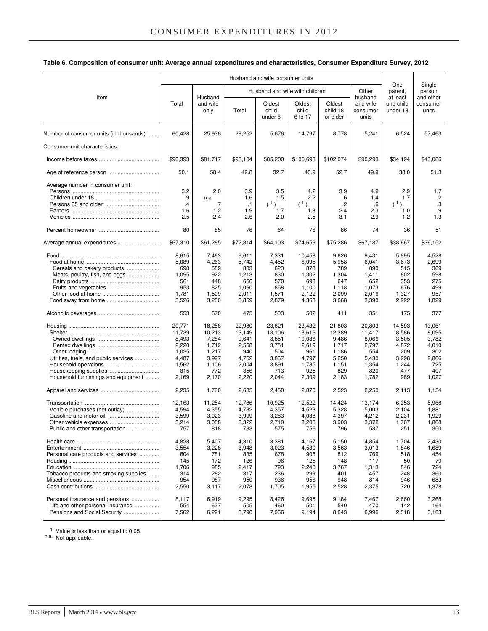| Table 6. Composition of consumer unit: Average annual expenditures and characteristics, Consumer Expenditure Survey, 2012 |  |  |
|---------------------------------------------------------------------------------------------------------------------------|--|--|
|---------------------------------------------------------------------------------------------------------------------------|--|--|

|                                                                                                       |                                                                               | Husband and wife consumer units                                               |                                                                             |                                                                             |                                                                              |                                                                               |                                                                             |                                                                          |                                                                          |
|-------------------------------------------------------------------------------------------------------|-------------------------------------------------------------------------------|-------------------------------------------------------------------------------|-----------------------------------------------------------------------------|-----------------------------------------------------------------------------|------------------------------------------------------------------------------|-------------------------------------------------------------------------------|-----------------------------------------------------------------------------|--------------------------------------------------------------------------|--------------------------------------------------------------------------|
|                                                                                                       |                                                                               |                                                                               |                                                                             |                                                                             | Husband and wife with children                                               | Other                                                                         | One<br>parent,                                                              | Single<br>person                                                         |                                                                          |
| Item                                                                                                  | Total                                                                         | Husband<br>and wife<br>only                                                   | Total                                                                       | Oldest<br>child<br>under 6                                                  | Oldest<br>child<br>6 to 17                                                   | Oldest<br>child 18<br>or older                                                | husband<br>and wife<br>consumer<br>units                                    | at least<br>one child<br>under 18                                        | and other<br>consumer<br>units                                           |
| Number of consumer units (in thousands)                                                               | 60,428                                                                        | 25,936                                                                        | 29,252                                                                      | 5,676                                                                       | 14,797                                                                       | 8,778                                                                         | 5,241                                                                       | 6,524                                                                    | 57,463                                                                   |
| Consumer unit characteristics:                                                                        |                                                                               |                                                                               |                                                                             |                                                                             |                                                                              |                                                                               |                                                                             |                                                                          |                                                                          |
|                                                                                                       | \$90,393                                                                      | \$81,717                                                                      | \$98,104                                                                    | \$85,200                                                                    | \$100,698                                                                    | \$102,074                                                                     | \$90,293                                                                    | \$34,194                                                                 | \$43,086                                                                 |
|                                                                                                       | 50.1                                                                          | 58.4                                                                          | 42.8                                                                        | 32.7                                                                        | 40.9                                                                         | 52.7                                                                          | 49.9                                                                        | 38.0                                                                     | 51.3                                                                     |
| Average number in consumer unit:                                                                      | 3.2<br>.9<br>.4<br>1.6<br>2.5                                                 | 2.0<br>n.a.<br>.7<br>1.2<br>2.4                                               | 3.9<br>1.6<br>$\cdot$ 1<br>1.9<br>2.6                                       | 3.5<br>1.5<br>(1)<br>1.7<br>2.0                                             | 4.2<br>2.2<br>(1)<br>1.8<br>2.5                                              | 3.9<br>.6<br>.2<br>2.4<br>3.1                                                 | 4.9<br>1.4<br>.6<br>2.3<br>2.9                                              | 2.9<br>1.7<br>(1)<br>1.0<br>1.2                                          | 1.7<br>$.2\,$<br>.3<br>.9<br>1.3                                         |
|                                                                                                       | 80                                                                            | 85                                                                            | 76                                                                          | 64                                                                          | 76                                                                           | 86                                                                            | 74                                                                          | 36                                                                       | 51                                                                       |
| Average annual expenditures                                                                           | \$67,310                                                                      | \$61,285                                                                      | \$72,814                                                                    | \$64,103                                                                    | \$74,659                                                                     | \$75,286                                                                      | \$67,187                                                                    | \$38,667                                                                 | \$36,152                                                                 |
| Cereals and bakery products<br>Meats, poultry, fish, and eggs                                         | 8,615<br>5,089<br>698<br>1,095<br>561<br>953<br>1,781<br>3,526                | 7,463<br>4,263<br>559<br>922<br>448<br>825<br>1,509<br>3,200                  | 9,611<br>5,742<br>803<br>1,213<br>656<br>1,060<br>2,011<br>3,869            | 7,331<br>4,452<br>623<br>830<br>570<br>858<br>1,571<br>2,879                | 10,458<br>6,095<br>878<br>1,302<br>693<br>1,100<br>2,122<br>4,363            | 9,626<br>5,958<br>789<br>1,304<br>647<br>1,118<br>2,099<br>3,668              | 9,431<br>6,041<br>890<br>1,411<br>652<br>1,073<br>2,016<br>3,390            | 5,895<br>3,673<br>515<br>802<br>353<br>676<br>1,327<br>2,222             | 4,528<br>2,699<br>369<br>598<br>275<br>499<br>957<br>1,829               |
|                                                                                                       | 553                                                                           | 670                                                                           | 475                                                                         | 503                                                                         | 502                                                                          | 411                                                                           | 351                                                                         | 175                                                                      | 377                                                                      |
| Utilities, fuels, and public services<br>Housekeeping supplies<br>Household furnishings and equipment | 20,771<br>11,739<br>8,493<br>2,220<br>1,025<br>4,487<br>1,562<br>815<br>2,169 | 18,258<br>10,213<br>7,284<br>1,712<br>1,217<br>3,997<br>1,106<br>772<br>2,170 | 22,980<br>13,149<br>9,641<br>2,568<br>940<br>4,752<br>2,004<br>856<br>2,220 | 23,621<br>13,106<br>8,851<br>3,751<br>504<br>3,867<br>3,891<br>713<br>2,044 | 23,432<br>13,616<br>10,036<br>2,619<br>961<br>4,797<br>1,785<br>925<br>2,309 | 21,803<br>12,389<br>9,486<br>1,717<br>1,186<br>5,250<br>1,151<br>829<br>2,183 | 20,803<br>11,417<br>8,066<br>2,797<br>554<br>5,430<br>1,354<br>820<br>1,782 | 14,593<br>8,586<br>3,505<br>4,872<br>209<br>3,298<br>1,244<br>477<br>989 | 13,061<br>8,095<br>3,782<br>4,010<br>302<br>2,806<br>725<br>407<br>1,027 |
|                                                                                                       | 2,235                                                                         | 1,760                                                                         | 2,685                                                                       | 2,450                                                                       | 2,870                                                                        | 2,523                                                                         | 2,250                                                                       | 2,113                                                                    | 1,154                                                                    |
| Vehicle purchases (net outlay)<br>Public and other transportation                                     | 12,163<br>4,594<br>3,599<br>3,214<br>757                                      | 11,254<br>4,355<br>3,023<br>3,058<br>818                                      | 12,786<br>4,732<br>3,999<br>3,322<br>733                                    | 10,925<br>4,357<br>3,283<br>2,710<br>575                                    | 12,522<br>4,523<br>4,038<br>3,205<br>756                                     | 14,424<br>5,328<br>4,397<br>3,903<br>796                                      | 13,174<br>5,003<br>4,212<br>3,372<br>587                                    | 6,353<br>2,104<br>2,231<br>1,767<br>251                                  | 5,968<br>1,881<br>1,929<br>1,808<br>350                                  |
| Personal care products and services<br>Tobacco products and smoking supplies                          | 4,828<br>3,554<br>804<br>145<br>1,706<br>314<br>954<br>2,550                  | 5,407<br>3,228<br>781<br>172<br>985<br>282<br>987<br>3,117                    | 4,310<br>3,948<br>835<br>126<br>2,417<br>317<br>950<br>2,078                | 3,381<br>3,023<br>678<br>96<br>793<br>236<br>936<br>1,705                   | 4,167<br>4,530<br>908<br>125<br>2,240<br>299<br>956<br>1,955                 | 5,150<br>3,563<br>812<br>148<br>3,767<br>401<br>948<br>2,528                  | 4,854<br>3,013<br>769<br>117<br>1,313<br>457<br>814<br>2,375                | 1,704<br>1,846<br>518<br>50<br>846<br>248<br>946<br>720                  | 2,430<br>1,689<br>454<br>79<br>724<br>360<br>683<br>1,378                |
| Personal insurance and pensions<br>Life and other personal insurance<br>Pensions and Social Security  | 8,117<br>554<br>7,562                                                         | 6,919<br>627<br>6,291                                                         | 9,295<br>505<br>8,790                                                       | 8,426<br>460<br>7,966                                                       | 9,695<br>501<br>9,194                                                        | 9,184<br>540<br>8,643                                                         | 7,467<br>470<br>6,996                                                       | 2,660<br>142<br>2,518                                                    | 3,268<br>164<br>3,103                                                    |

<sup>1</sup> Value is less than or equal to 0.05. n.a. Not applicable.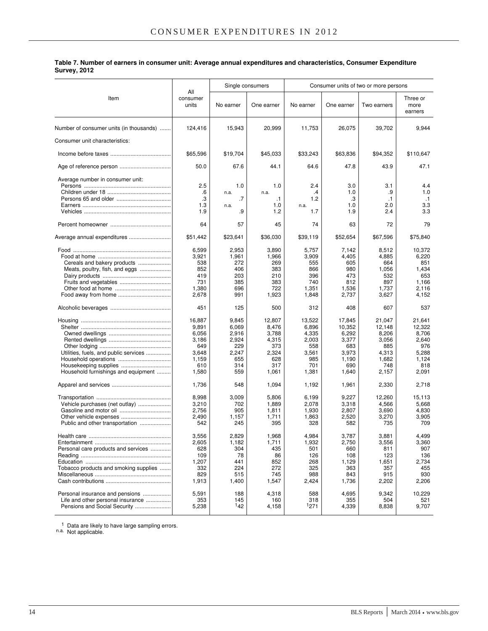|                                         |                          |           | Single consumers | Consumer units of two or more persons |            |             |                             |  |
|-----------------------------------------|--------------------------|-----------|------------------|---------------------------------------|------------|-------------|-----------------------------|--|
| Item                                    | All<br>consumer<br>units | No earner | One earner       | No earner                             | One earner | Two earners | Three or<br>more<br>earners |  |
| Number of consumer units (in thousands) | 124,416                  | 15,943    | 20,999           | 11,753                                | 26,075     | 39,702      | 9,944                       |  |
| Consumer unit characteristics:          |                          |           |                  |                                       |            |             |                             |  |
|                                         | \$65,596                 | \$19,704  | \$45,033         | \$33,243                              | \$63,836   | \$94,352    | \$110,647                   |  |
|                                         | 50.0                     | 67.6      | 44.1             | 64.6                                  | 47.8       | 43.9        | 47.1                        |  |
| Average number in consumer unit:        | 2.5                      | 1.0       | 1.0              | 2.4                                   | 3.0        | 3.1         | 4.4                         |  |
|                                         | .6                       | n.a.      | n.a.             | $\cdot$                               | 1.0        | .9          | 1.0                         |  |
|                                         | .3                       | .7        | $\cdot$ 1        | 1.2                                   | .3         | .1          | $\cdot$ 1                   |  |
|                                         | 1.3                      | n.a.      | 1.0              | n.a.                                  | 1.0        | 2.0         | 3.3                         |  |
|                                         | 1.9                      | .9        | 1.2              | 1.7                                   | 1.9        | 2.4         | 3.3                         |  |
|                                         | 64                       | 57        | 45               | 74                                    | 63         | 72          | 79                          |  |
| Average annual expenditures             | \$51,442                 | \$23,641  | \$36,030         | \$39,119                              | \$52,654   | \$67,596    | \$75,840                    |  |
|                                         | 6,599                    | 2,953     | 3,890            | 5,757                                 | 7,142      | 8,512       | 10,372                      |  |
|                                         | 3,921                    | 1,961     | 1,966            | 3,909                                 | 4,405      | 4,885       | 6,220                       |  |
| Cereals and bakery products             | 538                      | 272       | 269              | 555                                   | 605        | 664         | 851                         |  |
|                                         | 852                      | 406       | 383              | 866                                   | 980        | 1,056       | 1,434                       |  |
|                                         | 419                      | 203       | 210              | 396                                   | 473        | 532         | 653                         |  |
|                                         | 731                      | 385       | 383              | 740                                   | 812        | 897         | 1,166                       |  |
|                                         | 1,380                    | 696       | 722              | 1,351                                 | 1,536      | 1,737       | 2,116                       |  |
|                                         | 2,678                    | 991       | 1,923            | 1,848                                 | 2,737      | 3,627       | 4,152                       |  |
|                                         | 451                      | 125       | 500              | 312                                   | 408        | 607         | 537                         |  |
|                                         | 16,887                   | 9,845     | 12,807           | 13,522                                | 17,845     | 21,047      | 21,641                      |  |
|                                         | 9,891                    | 6,069     | 8,476            | 6,896                                 | 10,352     | 12,148      | 12,322                      |  |
|                                         | 6,056                    | 2,916     | 3,788            | 4,335                                 | 6,292      | 8,206       | 8,706                       |  |
|                                         | 3,186                    | 2,924     | 4,315            | 2,003                                 | 3,377      | 3,056       | 2,640                       |  |
|                                         | 649                      | 229       | 373              | 558                                   | 683        | 885         | 976                         |  |
| Utilities, fuels, and public services   | 3,648                    | 2,247     | 2,324            | 3,561                                 | 3,973      | 4,313       | 5,288                       |  |
|                                         | 1,159                    | 655       | 628              | 985                                   | 1,190      | 1,682       | 1,124                       |  |
|                                         | 610                      | 314       | 317              | 701                                   | 690        | 748         | 818                         |  |
| Household furnishings and equipment     | 1,580                    | 559       | 1,061            | 1,381                                 | 1,640      | 2,157       | 2,091                       |  |
|                                         | 1,736                    | 548       | 1,094            | 1,192                                 | 1,961      | 2,330       | 2,718                       |  |
|                                         | 8,998                    | 3,009     | 5,806            | 6,199                                 | 9,227      | 12,260      | 15,113                      |  |
| Vehicle purchases (net outlay)          | 3,210                    | 702       | 1,889            | 2,078                                 | 3,318      | 4,566       | 5,668                       |  |
|                                         | 2,756                    | 905       | 1,811            | 1,930                                 | 2,807      | 3,690       | 4,830                       |  |
|                                         | 2,490                    | 1,157     | 1,711            | 1,863                                 | 2,520      | 3,270       | 3,905                       |  |
| Public and other transportation         | 542                      | 245       | 395              | 328                                   | 582        | 735         | 709                         |  |
|                                         | 3,556                    | 2,829     | 1,968            | 4,984                                 | 3,787      | 3,881       | 4,499                       |  |
|                                         | 2,605                    | 1,182     | 1,711            | 1,932                                 | 2,750      | 3,556       | 3,360                       |  |
| Personal care products and services     | 628                      | 304       | 435              | 501                                   | 660        | 811         | 907                         |  |
|                                         | 109                      | 78        | 86               | 126                                   | 108        | 123         | 136                         |  |
|                                         | 1,207                    | 441       | 852              | 268                                   | 1,129      | 1,651       | 2,734                       |  |
| Tobacco products and smoking supplies   | 332                      | 224       | 272              | 325                                   | 363        | 357         | 455                         |  |
|                                         | 829                      | 515       | 745              | 988                                   | 843        | 915         | 930                         |  |
|                                         | 1,913                    | 1,400     | 1,547            | 2,424                                 | 1,736      | 2,202       | 2,206                       |  |
| Personal insurance and pensions         | 5,591                    | 188       | 4,318            | 588                                   | 4,695      | 9,342       | 10,229                      |  |
| Life and other personal insurance       | 353                      | 145       | 160              | 318                                   | 355        | 504         | 521                         |  |
| Pensions and Social Security            | 5,238                    | 142       | 4,158            | <sup>1</sup> 271                      | 4,339      | 8,838       | 9,707                       |  |

**Table 7. Number of earners in consumer unit: Average annual expenditures and characteristics, Consumer Expenditure Survey, 2012**

<sup>1</sup> Data are likely to have large sampling errors. n.a. Not applicable.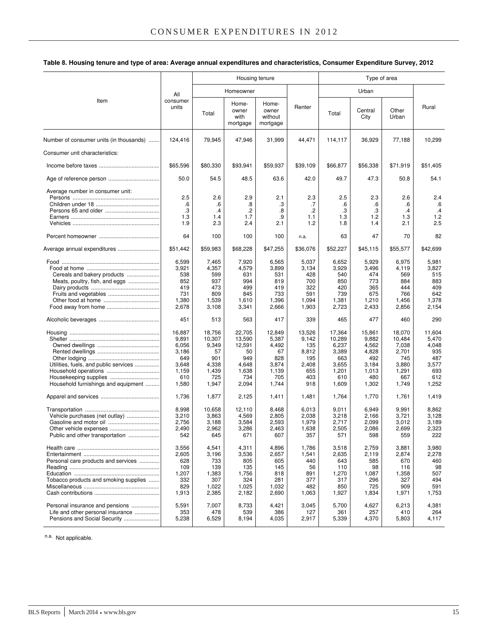Item All consumer units Housing tenure **Type of area** Homeowner Renter Urban Rural Total Homeowner with mortgage Homeowner without mortgage Total Central **City Other** Urban Number of consumer units (in thousands) ....... 124,416 79,945 47,946 31,999 44,471 114,117 36,929 77,188 10,299 Consumer unit characteristics: Income before taxes ....................................... \$65,596 \$80,330 \$93,941 \$59,937 \$39,109 \$66,877 \$56,338 \$71,919 \$51,405 Age of reference person ................................. 50.0 54.5 48.5 63.6 42.0 49.7 47.3 50.8 54.1 Average number in consumer unit: Persons ........................................................ 2.5 2.6 2.9 2.1 2.3 2.5 2.3 2.6 2.4 Children under 18 ......................................... .6 .6 .8 .3 .7 .6 .6 .6 .6 Persons 65 and older ................................... .3 .4 .2 .8 .2 .3 .3 .4 .4 Earners ......................................................... 1.3 1.4 1.7 .9 1.1 1.3 1.2 1.3 1.2 Vehicles ........................................................ 1.9 2.3 2.4 2.1 1.2 1.8 1.4 2.1 2.5 Percent homeowner ....................................... 64 100 100 100 n.a. 63 47 70 82 Average annual expenditures ........................... \$51,442 \$59,983 \$68,228 \$47,255 \$36,076 \$52,227 \$45,115 \$55,577 \$42,699 Food ............................................................... 6,599 7,465 7,920 6,565 5,037 6,652 5,929 6,975 5,981 Food at home ............................................... 3,921 4,357 4,579 3,899 3,134 3,929 3,496 4,119 3,827 Cereals and bakery products ..................... 538 599 631 531 428 540 474 569 515 Meats, poultry, fish, and eggs .................... 852 937 994 819 700 850 773 884 883 Dairy products ............................................ 419 473 499 419 322 420 365 444 409 Fruits and vegetables ................................. 731 809 845 733 591 739 675 766 642 Other food at home .................................... 1,380 1,539 1,610 1,396 1,094 1,381 1,210 1,456 1,378 Food away from home .................................. 2,678 3,108 3,341 2,666 1,903 2,723 2,433 2,856 2,154 Alcoholic beverages ....................................... 451 513 563 417 339 465 477 460 290 Housing .......................................................... 16,887 18,756 22,705 12,849 13,526 17,364 15,861 18,070 11,604 Shelter .......................................................... 9,891 10,307 13,590 5,387 9,142 10,289 9,882 10,484 5,470 Owned dwellings ........................................ 6,056 9,349 12,591 4,492 135 6,237 4,562 7,038 4,048 Rented dwellings ........................................ 3,186 57 50 67 8,812 3,389 4,828 2,701 935 Other lodging .............................................. 649 901 949 828 195 663 492 745 487 Utilities, fuels, and public services ................ 3,648 4,338 4,648 3,874 2,408 3,655 3,184 3,880 3,577 Household operations .................................. 1,159 1,439 1,638 1,139 655 1,201 1,013 1,291 693 Housekeeping supplies ................................ 610 725 734 705 403 610 480 667 612 Household furnishings and equipment ......... | 1,580 | 1,947 | 2,094 | 1,744 | 918 | 1,609 | 1,302 | 1,749 | 1,252 Apparel and services ...................................... 1,736 1,877 2,125 1,411 1,481 1,764 1,770 1,761 1,419 Transportation ................................................ 8,998 10,658 12,110 8,468 6,013 9,011 6,949 9,991 8,862 Vehicle purchases (net outlay) ..................... 3,210 3,863 4,569 2,805 2,038 3,218 2,166 3,721 3,128 Gasoline and motor oil ................................. 2,756 3,188 3,584 2,593 1,979 2,717 2,099 3,012 3,189 Other vehicle expenses ................................ 2,490 2,962 3,286 2,463 1,638 2,505 2,086 2,699 2,323 Public and other transportation .................... 542 645 671 607 357 571 598 559 222 Health care ..................................................... 3,556 4,541 4,311 4,896 1,786 3,518 2,759 3,881 3,980 Entertainment ................................................. 2,605 3,196 3,536 2,657 1,541 2,635 2,119 2,874 2,278 Personal care products and services ............. 628 733 805 605 440 643 585 670 460 Reading .......................................................... 109 139 135 145 56 110 98 116 98 Education ....................................................... 1,207 1,383 1,756 818 891 1,270 1,087 1,358 507 Tobacco products and smoking supplies ....... 332 307 324 281 377 317 296 327 494 Miscellaneous ................................................. 829 1,022 1,025 1,032 482 850 725 909 591 Cash contributions .......................................... 1,913 2,385 2,182 2,690 1,063 1,927 1,834 1,971 1,753 Personal insurance and pensions .................. 5,591 7,007 8,733 4,421 3,045 5,700 4,627 6,213 4,381 Life and other personal insurance ................ 353 478 539 386 127 361 257 410 264 Pensions and Social Security .............................. 5,238 6,529 8,194 4,035 2,917 5,339 4,370 5,803 4,117

**Table 8. Housing tenure and type of area: Average annual expenditures and characteristics, Consumer Expenditure Survey, 2012**

n.a. Not applicable.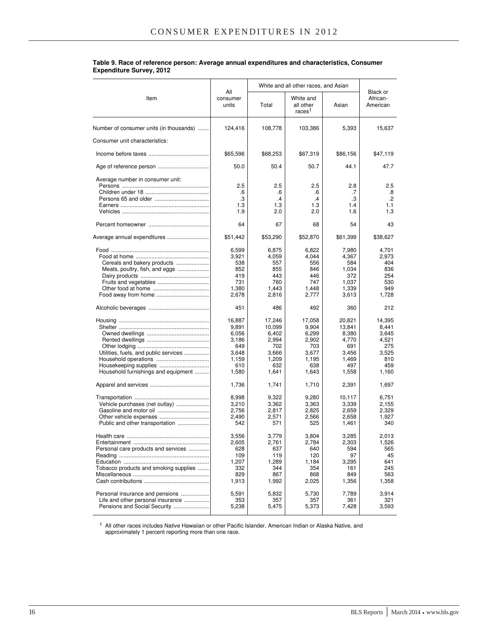|                                                                                                                                                                        |                                                                                                                                                   | White and all other races, and Asian                                                                                                               | Black or                                                                                                                                          |                                                                                                                                                        |                                                                                                                                               |  |
|------------------------------------------------------------------------------------------------------------------------------------------------------------------------|---------------------------------------------------------------------------------------------------------------------------------------------------|----------------------------------------------------------------------------------------------------------------------------------------------------|---------------------------------------------------------------------------------------------------------------------------------------------------|--------------------------------------------------------------------------------------------------------------------------------------------------------|-----------------------------------------------------------------------------------------------------------------------------------------------|--|
| Item                                                                                                                                                                   | All<br>consumer<br>units                                                                                                                          | Total                                                                                                                                              | White and<br>all other<br>races <sup>1</sup>                                                                                                      | Asian                                                                                                                                                  | African-<br>American                                                                                                                          |  |
| Number of consumer units (in thousands)                                                                                                                                | 124,416                                                                                                                                           | 108,778                                                                                                                                            | 103,386                                                                                                                                           | 5,393                                                                                                                                                  | 15,637                                                                                                                                        |  |
| Consumer unit characteristics:                                                                                                                                         |                                                                                                                                                   |                                                                                                                                                    |                                                                                                                                                   |                                                                                                                                                        |                                                                                                                                               |  |
|                                                                                                                                                                        | \$65,596                                                                                                                                          | \$68,253                                                                                                                                           | \$67,319                                                                                                                                          | \$86,156                                                                                                                                               | \$47,119                                                                                                                                      |  |
| Age of reference person                                                                                                                                                | 50.0                                                                                                                                              | 50.4                                                                                                                                               | 50.7                                                                                                                                              | 44.1                                                                                                                                                   | 47.7                                                                                                                                          |  |
| Average number in consumer unit:                                                                                                                                       | 2.5<br>.6<br>.3<br>1.3                                                                                                                            | 2.5<br>.6<br>.4<br>1.3                                                                                                                             | 2.5<br>.6<br>.4<br>1.3                                                                                                                            | 2.8<br>.7<br>.3<br>1.4                                                                                                                                 | 2.5<br>.8<br>$\cdot$<br>1.1                                                                                                                   |  |
|                                                                                                                                                                        | 1.9                                                                                                                                               | 2.0                                                                                                                                                | 2.0                                                                                                                                               | 1.6                                                                                                                                                    | 1.3                                                                                                                                           |  |
|                                                                                                                                                                        | 64                                                                                                                                                | 67                                                                                                                                                 | 68                                                                                                                                                | 54                                                                                                                                                     | 43                                                                                                                                            |  |
| Average annual expenditures                                                                                                                                            | \$51,442                                                                                                                                          | \$53,290                                                                                                                                           | \$52,870                                                                                                                                          | \$61,399                                                                                                                                               | \$38,627                                                                                                                                      |  |
| Cereals and bakery products<br>Meats, poultry, fish, and eggs<br>Utilities, fuels, and public services<br>Housekeeping supplies<br>Household furnishings and equipment | 6,599<br>3,921<br>538<br>852<br>419<br>731<br>1,380<br>2,678<br>451<br>16,887<br>9,891<br>6,056<br>3,186<br>649<br>3,648<br>1,159<br>610<br>1,580 | 6,875<br>4,059<br>557<br>855<br>443<br>760<br>1,443<br>2,816<br>486<br>17,246<br>10,099<br>6,402<br>2,994<br>702<br>3,666<br>1,209<br>632<br>1,641 | 6.822<br>4,044<br>556<br>846<br>446<br>747<br>1,448<br>2,777<br>492<br>17,058<br>9,904<br>6,299<br>2,902<br>703<br>3,677<br>1,195<br>638<br>1,643 | 7,980<br>4,367<br>584<br>1,034<br>372<br>1,037<br>1,339<br>3,613<br>360<br>20,821<br>13,841<br>8,380<br>4,770<br>691<br>3,456<br>1,469<br>497<br>1,558 | 4,701<br>2,973<br>404<br>836<br>254<br>530<br>949<br>1,728<br>212<br>14,395<br>8,441<br>3,645<br>4,521<br>275<br>3,525<br>810<br>459<br>1,160 |  |
|                                                                                                                                                                        | 1,736                                                                                                                                             | 1,741                                                                                                                                              | 1,710                                                                                                                                             | 2,391                                                                                                                                                  | 1,697                                                                                                                                         |  |
| Vehicle purchases (net outlay)<br>Public and other transportation                                                                                                      | 8,998<br>3,210<br>2,756<br>2,490<br>542                                                                                                           | 9,322<br>3,362<br>2,817<br>2,571<br>571                                                                                                            | 9,280<br>3,363<br>2,825<br>2,566<br>525                                                                                                           | 10,117<br>3,339<br>2,659<br>2,658<br>1,461                                                                                                             | 6,751<br>2,155<br>2,329<br>1,927<br>340                                                                                                       |  |
| Health care<br>Personal care products and services<br>Tobacco products and smoking supplies                                                                            | 3,556<br>2,605<br>628<br>109<br>1,207<br>332<br>829<br>1,913                                                                                      | 3,779<br>2,761<br>637<br>119<br>1,289<br>344<br>867<br>1,992                                                                                       | 3,804<br>2,784<br>640<br>120<br>1,184<br>354<br>868<br>2,025                                                                                      | 3,285<br>2,303<br>594<br>97<br>3,295<br>161<br>849<br>1,356                                                                                            | 2,013<br>1,526<br>565<br>45<br>641<br>245<br>563<br>1,358                                                                                     |  |
| Personal insurance and pensions<br>Life and other personal insurance<br>Pensions and Social Security                                                                   | 5,591<br>353<br>5,238                                                                                                                             | 5,832<br>357<br>5,475                                                                                                                              | 5,730<br>357<br>5,373                                                                                                                             | 7,789<br>361<br>7,428                                                                                                                                  | 3,914<br>321<br>3,593                                                                                                                         |  |

#### **Table 9. Race of reference person: Average annual expenditures and characteristics, Consumer Expenditure Survey, 2012**

<sup>1</sup> All other races includes Native Hawaiian or other Pacific Islander, American Indian or Alaska Native, and approximately 1 percent reporting more than one race.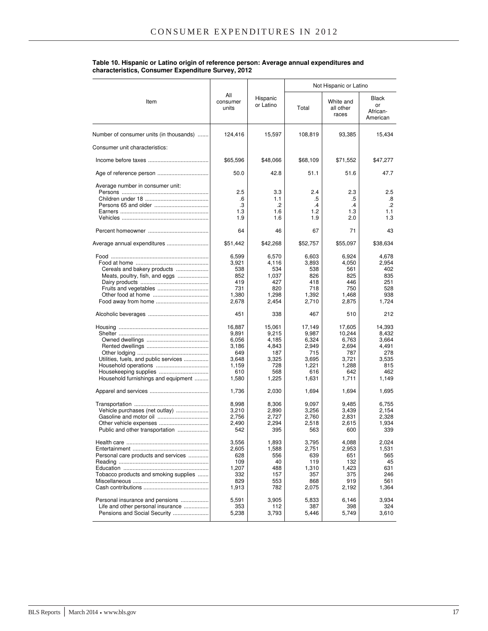#### **Table 10. Hispanic or Latino origin of reference person: Average annual expenditures and characteristics, Consumer Expenditure Survey, 2012**

|                                                                                                                                 |                                                                                                                                          |                                                                                                                                          |                                                                                                                                          | Not Hispanic or Latino                                                                                                                    |                                                                                                                                      |  |  |
|---------------------------------------------------------------------------------------------------------------------------------|------------------------------------------------------------------------------------------------------------------------------------------|------------------------------------------------------------------------------------------------------------------------------------------|------------------------------------------------------------------------------------------------------------------------------------------|-------------------------------------------------------------------------------------------------------------------------------------------|--------------------------------------------------------------------------------------------------------------------------------------|--|--|
| Item                                                                                                                            | All<br>consumer<br>units                                                                                                                 | Hispanic<br>or Latino                                                                                                                    | Total                                                                                                                                    | White and<br>all other<br>races                                                                                                           | <b>Black</b><br>or<br>African-<br>American                                                                                           |  |  |
| Number of consumer units (in thousands)                                                                                         | 124,416                                                                                                                                  | 15,597                                                                                                                                   | 108,819                                                                                                                                  | 93,385                                                                                                                                    | 15,434                                                                                                                               |  |  |
| Consumer unit characteristics:                                                                                                  |                                                                                                                                          |                                                                                                                                          |                                                                                                                                          |                                                                                                                                           |                                                                                                                                      |  |  |
|                                                                                                                                 | \$65,596                                                                                                                                 | \$48,066                                                                                                                                 | \$68,109                                                                                                                                 | \$71,552                                                                                                                                  | \$47,277                                                                                                                             |  |  |
|                                                                                                                                 | 50.0                                                                                                                                     | 42.8                                                                                                                                     | 51.1                                                                                                                                     | 51.6                                                                                                                                      | 47.7                                                                                                                                 |  |  |
| Average number in consumer unit:                                                                                                | 2.5<br>.6<br>.3<br>1.3<br>1.9                                                                                                            | 3.3<br>1.1<br>$\cdot$<br>1.6<br>1.6                                                                                                      | 2.4<br>.5<br>$\cdot$ 4<br>1.2<br>1.9                                                                                                     | 2.3<br>.5<br>$\cdot$ 4<br>1.3<br>2.0                                                                                                      | 2.5<br>.8<br>$\cdot$<br>1.1<br>1.3                                                                                                   |  |  |
|                                                                                                                                 | 64                                                                                                                                       | 46                                                                                                                                       | 67                                                                                                                                       | 71                                                                                                                                        | 43                                                                                                                                   |  |  |
| Average annual expenditures                                                                                                     | \$51,442                                                                                                                                 | \$42,268                                                                                                                                 | \$52,757                                                                                                                                 | \$55,097                                                                                                                                  | \$38,634                                                                                                                             |  |  |
| Cereals and bakery products<br>Meats, poultry, fish, and eggs<br>Fruits and vegetables<br>Utilities, fuels, and public services | 6,599<br>3.921<br>538<br>852<br>419<br>731<br>1,380<br>2,678<br>451<br>16,887<br>9,891<br>6,056<br>3,186<br>649<br>3,648<br>1,159<br>610 | 6,570<br>4,116<br>534<br>1,037<br>427<br>820<br>1,298<br>2,454<br>338<br>15,061<br>9,215<br>4,185<br>4,843<br>187<br>3,325<br>728<br>568 | 6,603<br>3,893<br>538<br>826<br>418<br>718<br>1,392<br>2,710<br>467<br>17,149<br>9,987<br>6,324<br>2,949<br>715<br>3,695<br>1,221<br>616 | 6.924<br>4,050<br>561<br>825<br>446<br>750<br>1,468<br>2,875<br>510<br>17,605<br>10,244<br>6,763<br>2,694<br>787<br>3,721<br>1,288<br>642 | 4,678<br>2,954<br>402<br>835<br>251<br>528<br>938<br>1,724<br>212<br>14,393<br>8,432<br>3,664<br>4,491<br>278<br>3,535<br>815<br>462 |  |  |
| Household furnishings and equipment                                                                                             | 1,580<br>1,736                                                                                                                           | 1,225<br>2,030                                                                                                                           | 1,631<br>1,694                                                                                                                           | 1,711<br>1,694                                                                                                                            | 1,149<br>1,695                                                                                                                       |  |  |
| Vehicle purchases (net outlay)<br>Public and other transportation                                                               | 8,998<br>3,210<br>2,756<br>2,490<br>542<br>3,556<br>2,605                                                                                | 8,306<br>2,890<br>2.727<br>2,294<br>395<br>1,893<br>1,588                                                                                | 9,097<br>3,256<br>2,760<br>2,518<br>563<br>3,795<br>2,751                                                                                | 9,485<br>3,439<br>2,831<br>2,615<br>600<br>4,088<br>2,953                                                                                 | 6,755<br>2,154<br>2,328<br>1,934<br>339<br>2,024<br>1,531                                                                            |  |  |
| Personal care products and services<br>Tobacco products and smoking supplies                                                    | 628<br>109<br>1,207<br>332<br>829<br>1,913                                                                                               | 556<br>40<br>488<br>157<br>553<br>782                                                                                                    | 639<br>119<br>1,310<br>357<br>868<br>2,075                                                                                               | 651<br>132<br>1,423<br>375<br>919<br>2,192                                                                                                | 565<br>45<br>631<br>246<br>561<br>1,364                                                                                              |  |  |
| Personal insurance and pensions<br>Life and other personal insurance<br>Pensions and Social Security                            | 5,591<br>353<br>5,238                                                                                                                    | 3,905<br>112<br>3,793                                                                                                                    | 5,833<br>387<br>5,446                                                                                                                    | 6,146<br>398<br>5,749                                                                                                                     | 3,934<br>324<br>3,610                                                                                                                |  |  |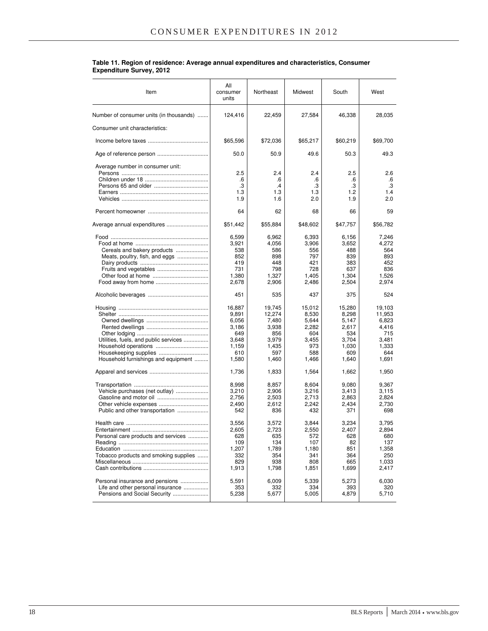| Item                                                                                                 | All<br>consumer<br>units                                                   | Northeast                                                                   | Midwest                                                                  | South                                                                      | West                                                                        |
|------------------------------------------------------------------------------------------------------|----------------------------------------------------------------------------|-----------------------------------------------------------------------------|--------------------------------------------------------------------------|----------------------------------------------------------------------------|-----------------------------------------------------------------------------|
| Number of consumer units (in thousands)                                                              | 124,416                                                                    | 22,459                                                                      | 27,584                                                                   | 46,338                                                                     | 28,035                                                                      |
| Consumer unit characteristics:                                                                       |                                                                            |                                                                             |                                                                          |                                                                            |                                                                             |
|                                                                                                      | \$65,596                                                                   | \$72,036                                                                    | \$65,217                                                                 | \$60,219                                                                   | \$69,700                                                                    |
|                                                                                                      | 50.0                                                                       | 50.9                                                                        | 49.6                                                                     | 50.3                                                                       | 49.3                                                                        |
| Average number in consumer unit:                                                                     | 2.5<br>.6<br>.3<br>1.3<br>1.9                                              | 2.4<br>.6<br>$\cdot$<br>1.3<br>1.6                                          | 2.4<br>.6<br>.3<br>1.3<br>2.0                                            | 2.5<br>.6<br>.3<br>1.2<br>1.9                                              | 2.6<br>.6<br>.3<br>1.4<br>2.0                                               |
|                                                                                                      | 64                                                                         | 62                                                                          | 68                                                                       | 66                                                                         | 59                                                                          |
| Average annual expenditures                                                                          | \$51,442                                                                   | \$55,884                                                                    | \$48,602                                                                 | \$47,757                                                                   | \$56,782                                                                    |
| Cereals and bakery products<br>Meats, poultry, fish, and eggs                                        | 6,599<br>3,921<br>538<br>852<br>419<br>731<br>1,380<br>2,678               | 6,962<br>4,056<br>586<br>898<br>448<br>798<br>1,327<br>2,906                | 6,393<br>3,906<br>556<br>797<br>421<br>728<br>1,405<br>2,486             | 6,156<br>3,652<br>488<br>839<br>383<br>637<br>1,304<br>2,504               | 7,246<br>4,272<br>564<br>893<br>452<br>836<br>1,526<br>2,974                |
|                                                                                                      | 451                                                                        | 535                                                                         | 437                                                                      | 375                                                                        | 524                                                                         |
| Utilities, fuels, and public services<br>Household furnishings and equipment                         | 16,887<br>9,891<br>6,056<br>3,186<br>649<br>3,648<br>1,159<br>610<br>1,580 | 19,745<br>12,274<br>7,480<br>3,938<br>856<br>3,979<br>1,435<br>597<br>1,460 | 15,012<br>8,530<br>5,644<br>2,282<br>604<br>3,455<br>973<br>588<br>1,466 | 15,280<br>8,298<br>5,147<br>2,617<br>534<br>3,704<br>1,030<br>609<br>1,640 | 19,103<br>11,953<br>6,823<br>4,416<br>715<br>3,481<br>1,333<br>644<br>1,691 |
|                                                                                                      | 1,736                                                                      | 1,833                                                                       | 1,564                                                                    | 1,662                                                                      | 1,950                                                                       |
| Vehicle purchases (net outlay)<br>Public and other transportation                                    | 8,998<br>3,210<br>2,756<br>2,490<br>542                                    | 8,857<br>2,906<br>2,503<br>2,612<br>836                                     | 8,604<br>3,216<br>2,713<br>2,242<br>432                                  | 9,080<br>3,413<br>2,863<br>2,434<br>371                                    | 9,367<br>3,115<br>2,824<br>2,730<br>698                                     |
| Personal care products and services<br>Tobacco products and smoking supplies                         | 3,556<br>2,605<br>628<br>109<br>1,207<br>332<br>829<br>1,913               | 3,572<br>2,723<br>635<br>134<br>1,789<br>354<br>938<br>1,798                | 3,844<br>2,550<br>572<br>107<br>1,180<br>341<br>808<br>1,851             | 3,234<br>2.407<br>628<br>82<br>851<br>364<br>665<br>1,699                  | 3.795<br>2,894<br>680<br>137<br>1,358<br>250<br>1,033<br>2,417              |
| Personal insurance and pensions<br>Life and other personal insurance<br>Pensions and Social Security | 5,591<br>353<br>5,238                                                      | 6,009<br>332<br>5,677                                                       | 5,339<br>334<br>5,005                                                    | 5,273<br>393<br>4,879                                                      | 6,030<br>320<br>5,710                                                       |

#### **Table 11. Region of residence: Average annual expenditures and characteristics, Consumer Expenditure Survey, 2012**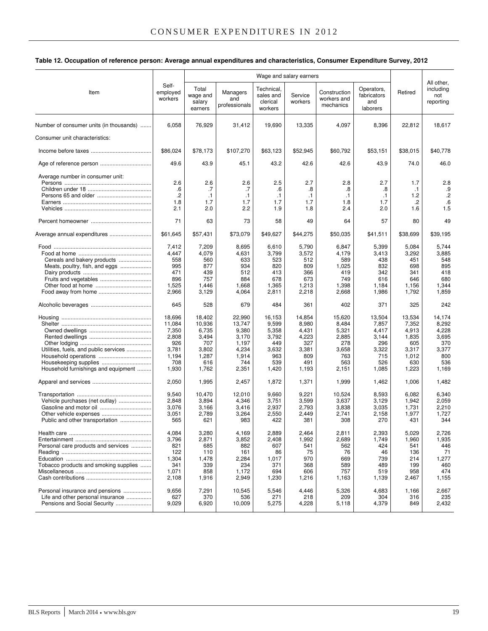#### **Table 12. Occupation of reference person: Average annual expenditures and characteristics, Consumer Expenditure Survey, 2012**

|                                         |                              | Wage and salary earners                |                                  |                                                |                    |                                          |                                              |           |                                             |
|-----------------------------------------|------------------------------|----------------------------------------|----------------------------------|------------------------------------------------|--------------------|------------------------------------------|----------------------------------------------|-----------|---------------------------------------------|
| Item                                    | Self-<br>employed<br>workers | Total<br>wage and<br>salary<br>earners | Managers<br>and<br>professionals | Technical,<br>sales and<br>clerical<br>workers | Service<br>workers | Construction<br>workers and<br>mechanics | Operators,<br>fabricators<br>and<br>laborers | Retired   | All other,<br>including<br>not<br>reporting |
| Number of consumer units (in thousands) | 6,058                        | 76,929                                 | 31,412                           | 19,690                                         | 13,335             | 4,097                                    | 8,396                                        | 22,812    | 18,617                                      |
| Consumer unit characteristics:          |                              |                                        |                                  |                                                |                    |                                          |                                              |           |                                             |
|                                         | \$86,024                     | \$78,173                               | \$107,270                        | \$63,123                                       | \$52,945           | \$60,792                                 | \$53,151                                     | \$38,015  | \$40,778                                    |
|                                         | 49.6                         | 43.9                                   | 45.1                             | 43.2                                           | 42.6               | 42.6                                     | 43.9                                         | 74.0      | 46.0                                        |
| Average number in consumer unit:        |                              |                                        |                                  |                                                |                    |                                          |                                              |           |                                             |
|                                         | 2.6                          | 2.6                                    | 2.6                              | 2.5                                            | 2.7                | 2.8                                      | 2.7                                          | 1.7       | 2.8                                         |
|                                         | .6                           | .7                                     | .7                               | .6                                             | .8                 | .8                                       | .8                                           | $\cdot$ 1 | .9                                          |
|                                         | $\cdot$                      | $\cdot$ 1                              | $\cdot$ 1                        | $\cdot$ 1                                      | $\cdot$ 1          | $\cdot$ 1                                | $\cdot$ 1                                    | 1.2       | $\cdot$                                     |
|                                         | 1.8                          | 1.7                                    | 1.7                              | 1.7                                            | 1.7                | 1.8                                      | 1.7                                          | .2        | .6                                          |
|                                         | 2.1                          | 2.0                                    | 2.2                              | 1.9                                            | 1.8                | 2.4                                      | 2.0                                          | 1.6       | 1.5                                         |
|                                         | 71                           | 63                                     | 73                               | 58                                             | 49                 | 64                                       | 57                                           | 80        | 49                                          |
| Average annual expenditures             | \$61,645                     | \$57,431                               | \$73,079                         | \$49,627                                       | \$44,275           | \$50,035                                 | \$41,511                                     | \$38,699  | \$39,195                                    |
|                                         | 7,412                        | 7,209                                  | 8,695                            | 6,610                                          | 5,790              | 6,847                                    | 5,399                                        | 5,084     | 5,744                                       |
|                                         | 4,447                        | 4,079                                  | 4,631                            | 3,799                                          | 3,572              | 4,179                                    | 3,413                                        | 3,292     | 3,885                                       |
| Cereals and bakery products             | 558                          | 560                                    | 633                              | 523                                            | 512                | 589                                      | 438                                          | 451       | 548                                         |
| Meats, poultry, fish, and eggs          | 995                          | 877                                    | 934                              | 820                                            | 809                | 1,025                                    | 832                                          | 698       | 895                                         |
|                                         | 471                          | 439                                    | 512                              | 413                                            | 366                | 419                                      | 342                                          | 341       | 418                                         |
| Fruits and vegetables                   | 896                          | 757                                    | 884                              | 678                                            | 673                | 749                                      | 616                                          | 646       | 680                                         |
|                                         | 1,525                        | 1,446                                  | 1,668                            | 1,365                                          | 1,213              | 1,398                                    | 1,184                                        | 1,156     | 1,344                                       |
|                                         | 2,966                        | 3,129                                  | 4,064                            | 2,811                                          | 2,218              | 2,668                                    | 1,986                                        | 1,792     | 1,859                                       |
|                                         | 645                          | 528                                    | 679                              | 484                                            | 361                | 402                                      | 371                                          | 325       | 242                                         |
|                                         | 18,696                       | 18,402                                 | 22,990                           | 16,153                                         | 14,854             | 15,620                                   | 13,504                                       | 13,534    | 14,174                                      |
|                                         | 11,084                       | 10,936                                 | 13,747                           | 9,599                                          | 8,980              | 8,484                                    | 7,857                                        | 7,352     | 8,292                                       |
|                                         | 7,350                        | 6,735                                  | 9,380                            | 5,358                                          | 4,431              | 5,321                                    | 4,417                                        | 4,913     | 4,228                                       |
|                                         | 2,808                        | 3,494                                  | 3,170                            | 3,792                                          | 4,223              | 2,885                                    | 3,144                                        | 1,835     | 3,695                                       |
|                                         | 926                          | 707                                    | 1,197                            | 449                                            | 327                | 278                                      | 296                                          | 605       | 370                                         |
| Utilities, fuels, and public services   | 3,781                        | 3,802                                  | 4,234                            | 3,632                                          | 3,381              | 3,658                                    | 3,322                                        | 3,317     | 3,377                                       |
|                                         | 1,194                        | 1,287                                  | 1,914                            | 963                                            | 809                | 763                                      | 715                                          | 1,012     | 800                                         |
|                                         | 708                          | 616                                    | 744                              | 539                                            | 491                | 563                                      | 526                                          | 630       | 536                                         |
| Household furnishings and equipment     | 1,930                        | 1,762                                  | 2,351                            | 1,420                                          | 1,193              | 2,151                                    | 1,085                                        | 1,223     | 1,169                                       |
|                                         |                              |                                        |                                  |                                                |                    |                                          |                                              |           |                                             |
|                                         | 2,050                        | 1,995                                  | 2,457                            | 1,872                                          | 1,371              | 1,999                                    | 1,462                                        | 1,006     | 1,482                                       |
|                                         | 9,540                        | 10,470                                 | 12,010                           | 9,660                                          | 9,221              | 10,524                                   | 8,593                                        | 6,082     | 6,340                                       |
| Vehicle purchases (net outlay)          | 2,848                        | 3.894                                  | 4,346                            | 3,751                                          | 3,599              | 3,637                                    | 3,129                                        | 1,942     | 2,059                                       |
|                                         | 3,076                        | 3,166                                  | 3,416                            | 2,937                                          | 2,793              | 3,838                                    | 3,035                                        | 1,731     | 2,210                                       |
| Other vehicle expenses                  | 3,051                        | 2,789                                  | 3,264                            | 2,550                                          | 2,449              | 2,741                                    | 2,158                                        | 1,977     | 1,727                                       |
| Public and other transportation         | 565                          | 621                                    | 983                              | 422                                            | 381                | 308                                      | 270                                          | 431       | 344                                         |
|                                         | 4,084                        | 3,280                                  | 4,169                            | 2,889                                          | 2,464              | 2,811                                    | 2,393                                        | 5,029     | 2,726                                       |
|                                         | 3,796                        | 2,871                                  | 3,852                            | 2,408                                          | 1,992              | 2,689                                    | 1,749                                        | 1,960     | 1,935                                       |
| Personal care products and services     | 821                          | 685                                    | 882                              | 607                                            | 541                | 562                                      | 424                                          | 541       | 446                                         |
|                                         | 122                          | 110                                    | 161                              | 86                                             | 75                 | 76                                       | 46                                           | 136       | 71                                          |
|                                         | 1,304                        | 1,478                                  | 2,284                            | 1,017                                          | 970                | 669                                      | 739                                          | 214       | 1,277                                       |
| Tobacco products and smoking supplies   | 341                          | 339                                    | 234                              | 371                                            | 368                | 589                                      | 489                                          | 199       | 460                                         |
|                                         | 1,071                        | 858                                    | 1,172                            | 694                                            | 606                | 757                                      | 519                                          | 958       | 474                                         |
|                                         | 2,108                        | 1,916                                  | 2,949                            | 1,230                                          | 1,216              | 1,163                                    | 1,139                                        | 2,467     | 1,155                                       |
| Personal insurance and pensions         | 9,656                        | 7,291                                  | 10,545                           | 5,546                                          | 4,446              | 5,326                                    | 4,683                                        | 1,166     | 2,667                                       |
| Life and other personal insurance       | 627                          | 370                                    | 536                              | 271                                            | 218                | 209                                      | 304                                          | 316       | 235                                         |
| Pensions and Social Security            | 9,029                        | 6,920                                  | 10,009                           | 5,275                                          | 4,228              | 5,118                                    | 4,379                                        | 849       | 2,432                                       |
|                                         |                              |                                        |                                  |                                                |                    |                                          |                                              |           |                                             |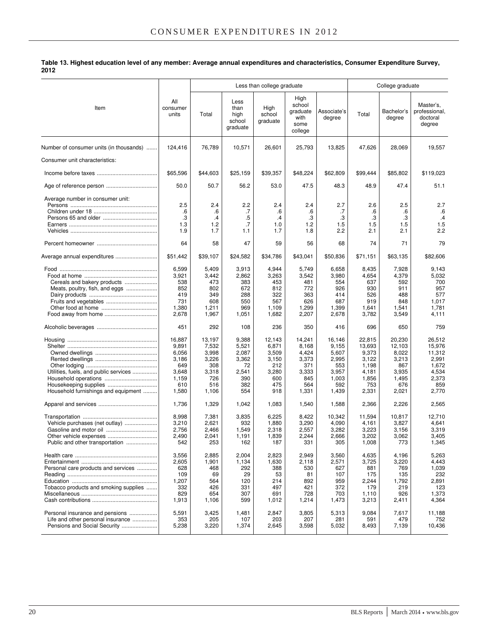**Table 13. Highest education level of any member: Average annual expenditures and characteristics, Consumer Expenditure Survey, 2012**

|                                                                                                       |                                                                            |                                                                          |                                                                      | Less than college graduate                                             |                                                                          |                                                                            | College graduate                                                              |                                                                             |                                                                                |  |
|-------------------------------------------------------------------------------------------------------|----------------------------------------------------------------------------|--------------------------------------------------------------------------|----------------------------------------------------------------------|------------------------------------------------------------------------|--------------------------------------------------------------------------|----------------------------------------------------------------------------|-------------------------------------------------------------------------------|-----------------------------------------------------------------------------|--------------------------------------------------------------------------------|--|
| Item                                                                                                  | All<br>consumer<br>units                                                   | Total                                                                    | Less<br>than<br>high<br>school<br>graduate                           | High<br>school<br>graduate                                             | High<br>school<br>graduate<br>with<br>some<br>college                    | Associate's<br>degree                                                      | Total                                                                         | Bachelor's<br>degree                                                        | Master's,<br>professional,<br>doctoral<br>degree                               |  |
| Number of consumer units (in thousands)                                                               | 124,416                                                                    | 76,789                                                                   | 10,571                                                               | 26,601                                                                 | 25,793                                                                   | 13,825                                                                     | 47,626                                                                        | 28,069                                                                      | 19,557                                                                         |  |
| Consumer unit characteristics:                                                                        |                                                                            |                                                                          |                                                                      |                                                                        |                                                                          |                                                                            |                                                                               |                                                                             |                                                                                |  |
|                                                                                                       | \$65,596                                                                   | \$44,603                                                                 | \$25,159                                                             | \$39,357                                                               | \$48,224                                                                 | \$62,809                                                                   | \$99.444                                                                      | \$85,802                                                                    | \$119,023                                                                      |  |
|                                                                                                       | 50.0                                                                       | 50.7                                                                     | 56.2                                                                 | 53.0                                                                   | 47.5                                                                     | 48.3                                                                       | 48.9                                                                          | 47.4                                                                        | 51.1                                                                           |  |
| Average number in consumer unit:                                                                      | 2.5<br>.6<br>.3<br>1.3<br>1.9                                              | 2.4<br>.6<br>$\cdot$<br>1.2<br>1.7                                       | 2.2<br>.7<br>.5<br>.7<br>1.1                                         | 2.4<br>.6<br>$\cdot$<br>1.0<br>1.7                                     | 2.4<br>.6<br>.3<br>1.2<br>1.8                                            | 2.7<br>.7<br>.3<br>1.5<br>2.2                                              | 2.6<br>.6<br>.3<br>1.5<br>2.1                                                 | 2.5<br>.6<br>.3<br>1.5<br>2.1                                               | 2.7<br>.6<br>$\cdot$<br>1.5<br>2.2                                             |  |
|                                                                                                       | 64                                                                         | 58                                                                       | 47                                                                   | 59                                                                     | 56                                                                       | 68                                                                         | 74                                                                            | 71                                                                          | 79                                                                             |  |
| Average annual expenditures                                                                           | \$51,442                                                                   | \$39,107                                                                 | \$24,582                                                             | \$34,786                                                               | \$43,041                                                                 | \$50,836                                                                   | \$71,151                                                                      | \$63,135                                                                    | \$82,606                                                                       |  |
| Cereals and bakery products<br>Meats, poultry, fish, and eggs<br>Fruits and vegetables                | 6,599<br>3,921<br>538<br>852<br>419<br>731<br>1,380<br>2,678               | 5,409<br>3,442<br>473<br>802<br>349<br>608<br>1,211<br>1,967             | 3,913<br>2,862<br>383<br>672<br>288<br>550<br>969<br>1,051           | 4,944<br>3,263<br>453<br>812<br>322<br>567<br>1,109<br>1,682           | 5,749<br>3,542<br>481<br>772<br>363<br>626<br>1,299<br>2,207             | 6,658<br>3,980<br>554<br>926<br>414<br>687<br>1,399<br>2,678               | 8,435<br>4,654<br>637<br>930<br>526<br>919<br>1,641<br>3,782                  | 7,928<br>4,379<br>592<br>911<br>488<br>848<br>1,541<br>3,549                | 9,143<br>5,032<br>700<br>957<br>577<br>1,017<br>1,781<br>4,111                 |  |
|                                                                                                       | 451                                                                        | 292                                                                      | 108                                                                  | 236                                                                    | 350                                                                      | 416                                                                        | 696                                                                           | 650                                                                         | 759                                                                            |  |
| Utilities, fuels, and public services<br>Housekeeping supplies<br>Household furnishings and equipment | 16,887<br>9,891<br>6,056<br>3,186<br>649<br>3,648<br>1,159<br>610<br>1,580 | 13,197<br>7,532<br>3,998<br>3,226<br>308<br>3,318<br>726<br>516<br>1,106 | 9,388<br>5,521<br>2,087<br>3,362<br>72<br>2,541<br>390<br>382<br>554 | 12,143<br>6,871<br>3,509<br>3,150<br>212<br>3,280<br>600<br>475<br>918 | 14,241<br>8,168<br>4,424<br>3,373<br>371<br>3,333<br>845<br>564<br>1,331 | 16,146<br>9,155<br>5,607<br>2,995<br>553<br>3,957<br>1,003<br>592<br>1,439 | 22,815<br>13,693<br>9,373<br>3,122<br>1,198<br>4,181<br>1,856<br>753<br>2,331 | 20,230<br>12,103<br>8,022<br>3,213<br>867<br>3,935<br>1,495<br>676<br>2,021 | 26,512<br>15,976<br>11,312<br>2,991<br>1,672<br>4,534<br>2,373<br>859<br>2,770 |  |
|                                                                                                       | 1,736                                                                      | 1,329                                                                    | 1,042                                                                | 1,083                                                                  | 1,540                                                                    | 1,588                                                                      | 2,366                                                                         | 2,226                                                                       | 2,565                                                                          |  |
| Vehicle purchases (net outlay)<br>Public and other transportation                                     | 8,998<br>3,210<br>2,756<br>2,490<br>542                                    | 7,381<br>2,621<br>2,466<br>2,041<br>253                                  | 3,835<br>932<br>1,549<br>1,191<br>162                                | 6,225<br>1,880<br>2,318<br>1,839<br>187                                | 8,422<br>3,290<br>2,557<br>2,244<br>331                                  | 10,342<br>4,090<br>3,282<br>2,666<br>305                                   | 11,594<br>4,161<br>3,223<br>3,202<br>1,008                                    | 10,817<br>3,827<br>3,156<br>3,062<br>773                                    | 12,710<br>4,641<br>3,319<br>3,405<br>1,345                                     |  |
| Personal care products and services<br>Tobacco products and smoking supplies                          | 3,556<br>2,605<br>628<br>109<br>1,207<br>332<br>829<br>1,913               | 2,885<br>1,901<br>468<br>69<br>564<br>426<br>654<br>1,106                | 2,004<br>1,134<br>292<br>29<br>120<br>331<br>307<br>599              | 2,823<br>1,630<br>388<br>53<br>214<br>497<br>691<br>1,012              | 2,949<br>2,118<br>530<br>81<br>892<br>421<br>728<br>1,214                | 3,560<br>2,571<br>627<br>107<br>959<br>372<br>703<br>1,473                 | 4,635<br>3,725<br>881<br>175<br>2,244<br>179<br>1,110<br>3,213                | 4,196<br>3,220<br>769<br>135<br>1,792<br>219<br>926<br>2,411                | 5,263<br>4,443<br>1,039<br>232<br>2,891<br>123<br>1,373<br>4,364               |  |
| Personal insurance and pensions<br>Life and other personal insurance<br>Pensions and Social Security  | 5,591<br>353<br>5,238                                                      | 3,425<br>205<br>3,220                                                    | 1,481<br>107<br>1,374                                                | 2,847<br>203<br>2,645                                                  | 3,805<br>207<br>3,598                                                    | 5,313<br>281<br>5,032                                                      | 9,084<br>591<br>8,493                                                         | 7,617<br>479<br>7,139                                                       | 11,188<br>752<br>10,436                                                        |  |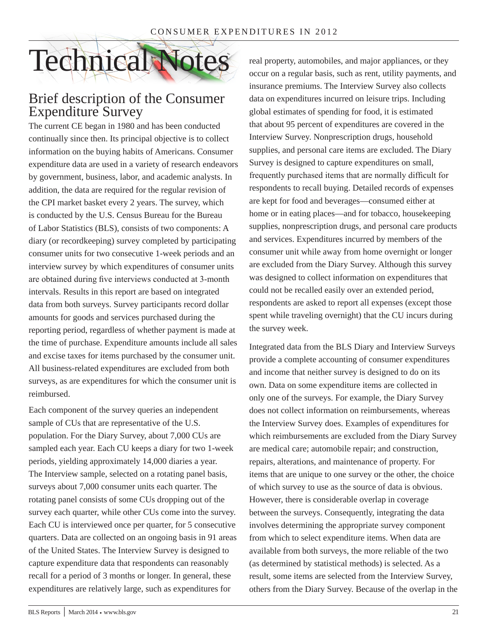

### Brief description of the Consumer Expenditure Survey

The current CE began in 1980 and has been conducted continually since then. Its principal objective is to collect information on the buying habits of Americans. Consumer expenditure data are used in a variety of research endeavors by government, business, labor, and academic analysts. In addition, the data are required for the regular revision of the CPI market basket every 2 years. The survey, which is conducted by the U.S. Census Bureau for the Bureau of Labor Statistics (BLS), consists of two components: A diary (or recordkeeping) survey completed by participating consumer units for two consecutive 1-week periods and an interview survey by which expenditures of consumer units are obtained during five interviews conducted at 3-month intervals. Results in this report are based on integrated data from both surveys. Survey participants record dollar amounts for goods and services purchased during the reporting period, regardless of whether payment is made at the time of purchase. Expenditure amounts include all sales and excise taxes for items purchased by the consumer unit. All business-related expenditures are excluded from both surveys, as are expenditures for which the consumer unit is reimbursed.

Each component of the survey queries an independent sample of CUs that are representative of the U.S. population. For the Diary Survey, about 7,000 CUs are sampled each year. Each CU keeps a diary for two 1-week periods, yielding approximately 14,000 diaries a year. The Interview sample, selected on a rotating panel basis, surveys about 7,000 consumer units each quarter. The rotating panel consists of some CUs dropping out of the survey each quarter, while other CUs come into the survey. Each CU is interviewed once per quarter, for 5 consecutive quarters. Data are collected on an ongoing basis in 91 areas of the United States. The Interview Survey is designed to capture expenditure data that respondents can reasonably recall for a period of 3 months or longer. In general, these expenditures are relatively large, such as expenditures for

real property, automobiles, and major appliances, or they occur on a regular basis, such as rent, utility payments, and insurance premiums. The Interview Survey also collects data on expenditures incurred on leisure trips. Including global estimates of spending for food, it is estimated that about 95 percent of expenditures are covered in the Interview Survey. Nonprescription drugs, household supplies, and personal care items are excluded. The Diary Survey is designed to capture expenditures on small, frequently purchased items that are normally difficult for respondents to recall buying. Detailed records of expenses are kept for food and beverages—consumed either at home or in eating places—and for tobacco, housekeeping supplies, nonprescription drugs, and personal care products and services. Expenditures incurred by members of the consumer unit while away from home overnight or longer are excluded from the Diary Survey. Although this survey was designed to collect information on expenditures that could not be recalled easily over an extended period, respondents are asked to report all expenses (except those spent while traveling overnight) that the CU incurs during the survey week.

Integrated data from the BLS Diary and Interview Surveys provide a complete accounting of consumer expenditures and income that neither survey is designed to do on its own. Data on some expenditure items are collected in only one of the surveys. For example, the Diary Survey does not collect information on reimbursements, whereas the Interview Survey does. Examples of expenditures for which reimbursements are excluded from the Diary Survey are medical care; automobile repair; and construction, repairs, alterations, and maintenance of property. For items that are unique to one survey or the other, the choice of which survey to use as the source of data is obvious. However, there is considerable overlap in coverage between the surveys. Consequently, integrating the data involves determining the appropriate survey component from which to select expenditure items. When data are available from both surveys, the more reliable of the two (as determined by statistical methods) is selected. As a result, some items are selected from the Interview Survey, others from the Diary Survey. Because of the overlap in the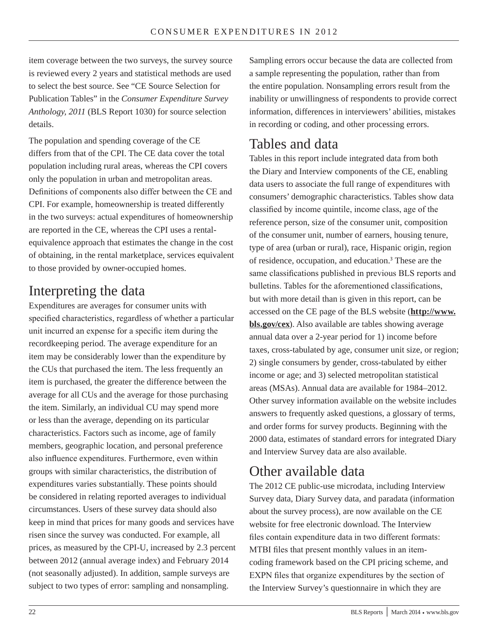item coverage between the two surveys, the survey source is reviewed every 2 years and statistical methods are used to select the best source. See "CE Source Selection for Publication Tables" in the *Consumer Expenditure Survey Anthology, 2011* (BLS Report 1030) for source selection details.

The population and spending coverage of the CE differs from that of the CPI. The CE data cover the total population including rural areas, whereas the CPI covers only the population in urban and metropolitan areas. Definitions of components also differ between the CE and CPI. For example, homeownership is treated differently in the two surveys: actual expenditures of homeownership are reported in the CE, whereas the CPI uses a rentalequivalence approach that estimates the change in the cost of obtaining, in the rental marketplace, services equivalent to those provided by owner-occupied homes.

# Interpreting the data

Expenditures are averages for consumer units with specified characteristics, regardless of whether a particular unit incurred an expense for a specific item during the recordkeeping period. The average expenditure for an item may be considerably lower than the expenditure by the CUs that purchased the item. The less frequently an item is purchased, the greater the difference between the average for all CUs and the average for those purchasing the item. Similarly, an individual CU may spend more or less than the average, depending on its particular characteristics. Factors such as income, age of family members, geographic location, and personal preference also influence expenditures. Furthermore, even within groups with similar characteristics, the distribution of expenditures varies substantially. These points should be considered in relating reported averages to individual circumstances. Users of these survey data should also keep in mind that prices for many goods and services have risen since the survey was conducted. For example, all prices, as measured by the CPI-U, increased by 2.3 percent between 2012 (annual average index) and February 2014 (not seasonally adjusted). In addition, sample surveys are subject to two types of error: sampling and nonsampling.

Sampling errors occur because the data are collected from a sample representing the population, rather than from the entire population. Nonsampling errors result from the inability or unwillingness of respondents to provide correct information, differences in interviewers' abilities, mistakes in recording or coding, and other processing errors.

# Tables and data

Tables in this report include integrated data from both the Diary and Interview components of the CE, enabling data users to associate the full range of expenditures with consumers' demographic characteristics. Tables show data classified by income quintile, income class, age of the reference person, size of the consumer unit, composition of the consumer unit, number of earners, housing tenure, type of area (urban or rural), race, Hispanic origin, region of residence, occupation, and education.<sup>3</sup> These are the same classifications published in previous BLS reports and bulletins. Tables for the aforementioned classifications, but with more detail than is given in this report, can be accessed on the CE page of the BLS website (**[http://www.](http://www.bls.gov/cex) [bls.gov/cex](http://www.bls.gov/cex)**). Also available are tables showing average annual data over a 2-year period for 1) income before taxes, cross-tabulated by age, consumer unit size, or region; 2) single consumers by gender, cross-tabulated by either income or age; and 3) selected metropolitan statistical areas (MSAs). Annual data are available for 1984–2012. Other survey information available on the website includes answers to frequently asked questions, a glossary of terms, and order forms for survey products. Beginning with the 2000 data, estimates of standard errors for integrated Diary and Interview Survey data are also available.

# Other available data

The 2012 CE public-use microdata, including Interview Survey data, Diary Survey data, and paradata (information about the survey process), are now available on the CE website for free electronic download. The Interview files contain expenditure data in two different formats: MTBI files that present monthly values in an itemcoding framework based on the CPI pricing scheme, and EXPN files that organize expenditures by the section of the Interview Survey's questionnaire in which they are